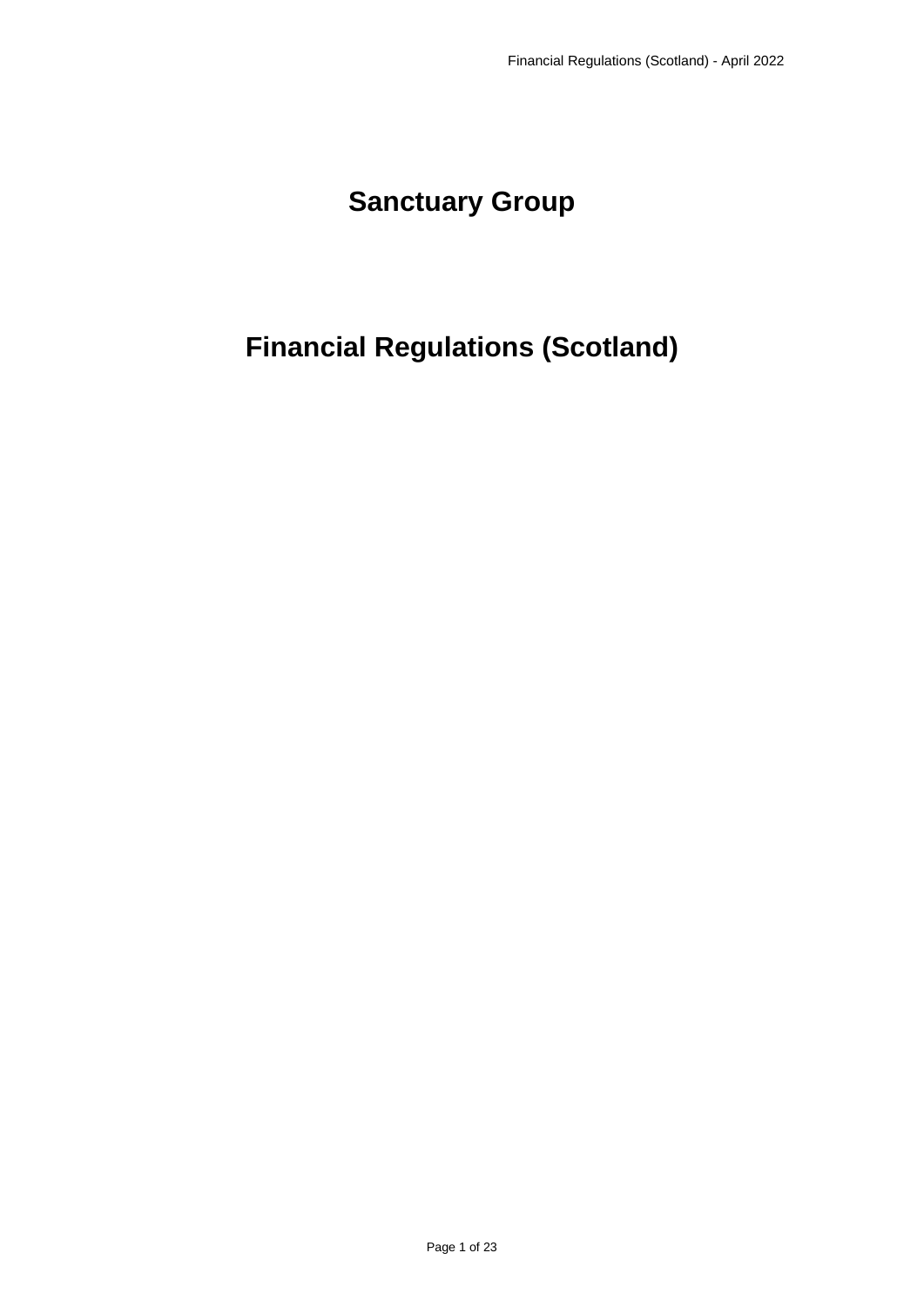# **Sanctuary Group**

# **Financial Regulations (Scotland)**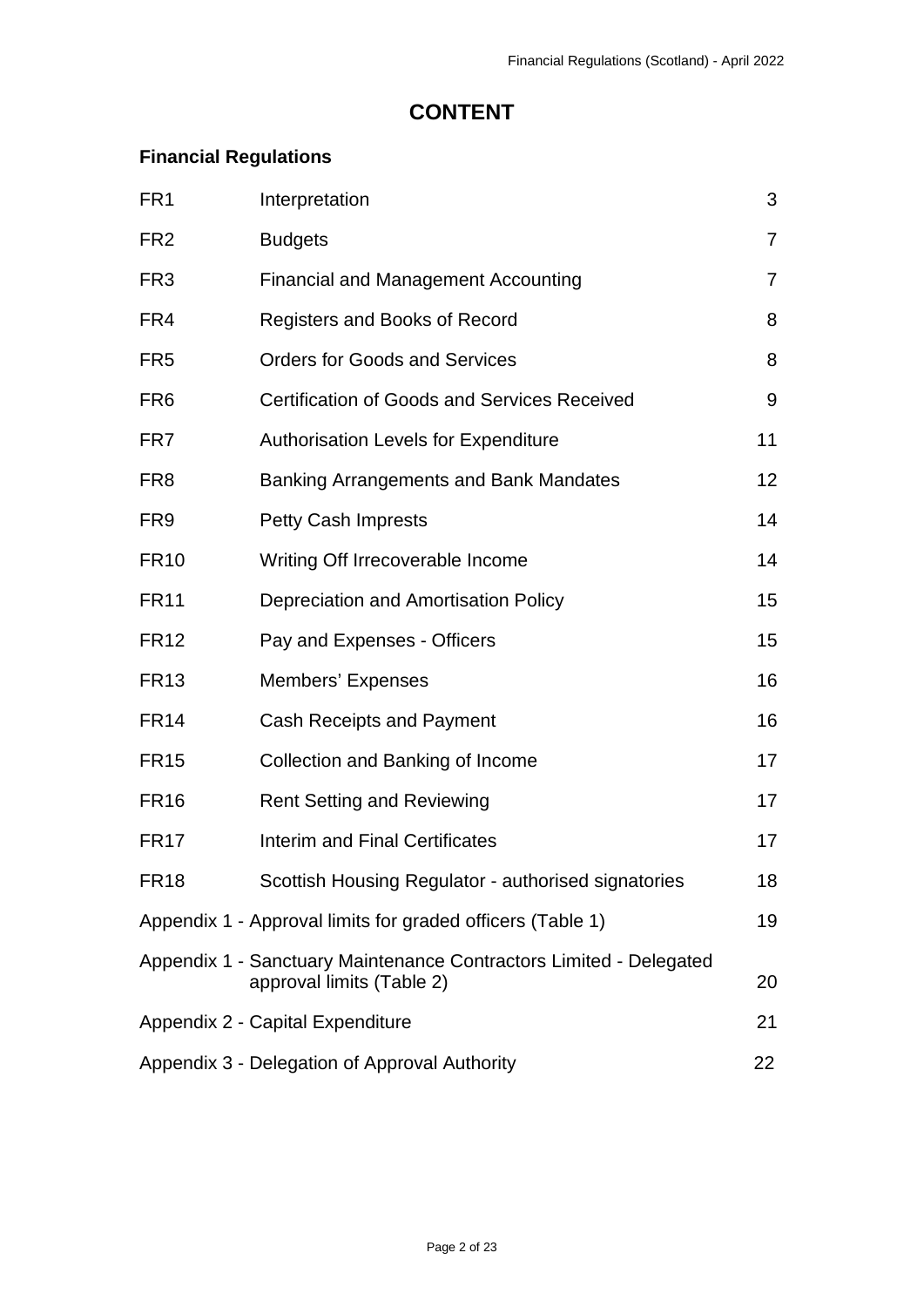# **CONTENT**

# **Financial Regulations**

| FR <sub>1</sub> | Interpretation                                                                                  | 3              |
|-----------------|-------------------------------------------------------------------------------------------------|----------------|
| FR <sub>2</sub> | <b>Budgets</b>                                                                                  | $\overline{7}$ |
| FR <sub>3</sub> | <b>Financial and Management Accounting</b>                                                      | $\overline{7}$ |
| FR4             | Registers and Books of Record                                                                   | 8              |
| FR <sub>5</sub> | <b>Orders for Goods and Services</b>                                                            | 8              |
| FR <sub>6</sub> | <b>Certification of Goods and Services Received</b>                                             | 9              |
| FR7             | <b>Authorisation Levels for Expenditure</b>                                                     | 11             |
| FR <sub>8</sub> | Banking Arrangements and Bank Mandates                                                          | 12             |
| FR <sub>9</sub> | <b>Petty Cash Imprests</b>                                                                      | 14             |
| <b>FR10</b>     | Writing Off Irrecoverable Income                                                                | 14             |
| <b>FR11</b>     | Depreciation and Amortisation Policy                                                            | 15             |
| <b>FR12</b>     | Pay and Expenses - Officers                                                                     | 15             |
| <b>FR13</b>     | Members' Expenses                                                                               | 16             |
| <b>FR14</b>     | <b>Cash Receipts and Payment</b>                                                                | 16             |
| <b>FR15</b>     | Collection and Banking of Income                                                                | 17             |
| <b>FR16</b>     | <b>Rent Setting and Reviewing</b>                                                               | 17             |
| <b>FR17</b>     | <b>Interim and Final Certificates</b>                                                           | 17             |
| <b>FR18</b>     | Scottish Housing Regulator - authorised signatories                                             | 18             |
|                 | Appendix 1 - Approval limits for graded officers (Table 1)                                      | 19             |
|                 | Appendix 1 - Sanctuary Maintenance Contractors Limited - Delegated<br>approval limits (Table 2) | 20             |
|                 | Appendix 2 - Capital Expenditure                                                                | 21             |
|                 | Appendix 3 - Delegation of Approval Authority                                                   | 22             |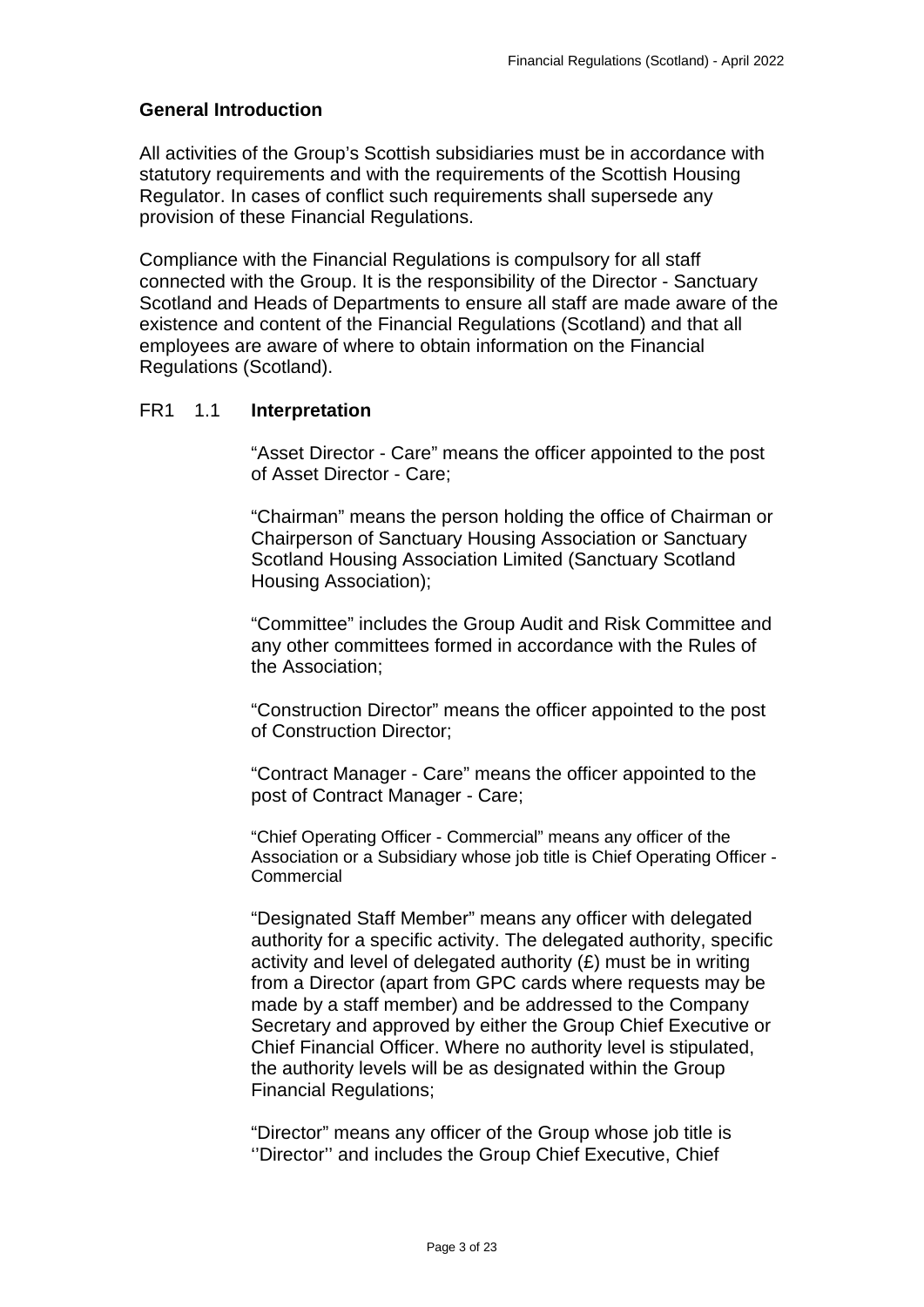#### **General Introduction**

All activities of the Group's Scottish subsidiaries must be in accordance with statutory requirements and with the requirements of the Scottish Housing Regulator. In cases of conflict such requirements shall supersede any provision of these Financial Regulations.

Compliance with the Financial Regulations is compulsory for all staff connected with the Group. It is the responsibility of the Director - Sanctuary Scotland and Heads of Departments to ensure all staff are made aware of the existence and content of the Financial Regulations (Scotland) and that all employees are aware of where to obtain information on the Financial Regulations (Scotland).

#### <span id="page-2-0"></span>FR1 1.1 **Interpretation**

"Asset Director - Care" means the officer appointed to the post of Asset Director - Care;

"Chairman" means the person holding the office of Chairman or Chairperson of Sanctuary Housing Association or Sanctuary Scotland Housing Association Limited (Sanctuary Scotland Housing Association);

"Committee" includes the Group Audit and Risk Committee and any other committees formed in accordance with the Rules of the Association;

"Construction Director" means the officer appointed to the post of Construction Director;

"Contract Manager - Care" means the officer appointed to the post of Contract Manager - Care;

"Chief Operating Officer - Commercial" means any officer of the Association or a Subsidiary whose job title is Chief Operating Officer - **Commercial** 

"Designated Staff Member" means any officer with delegated authority for a specific activity. The delegated authority, specific activity and level of delegated authority (£) must be in writing from a Director (apart from GPC cards where requests may be made by a staff member) and be addressed to the Company Secretary and approved by either the Group Chief Executive or Chief Financial Officer. Where no authority level is stipulated, the authority levels will be as designated within the Group Financial Regulations;

"Director" means any officer of the Group whose job title is ''Director'' and includes the Group Chief Executive, Chief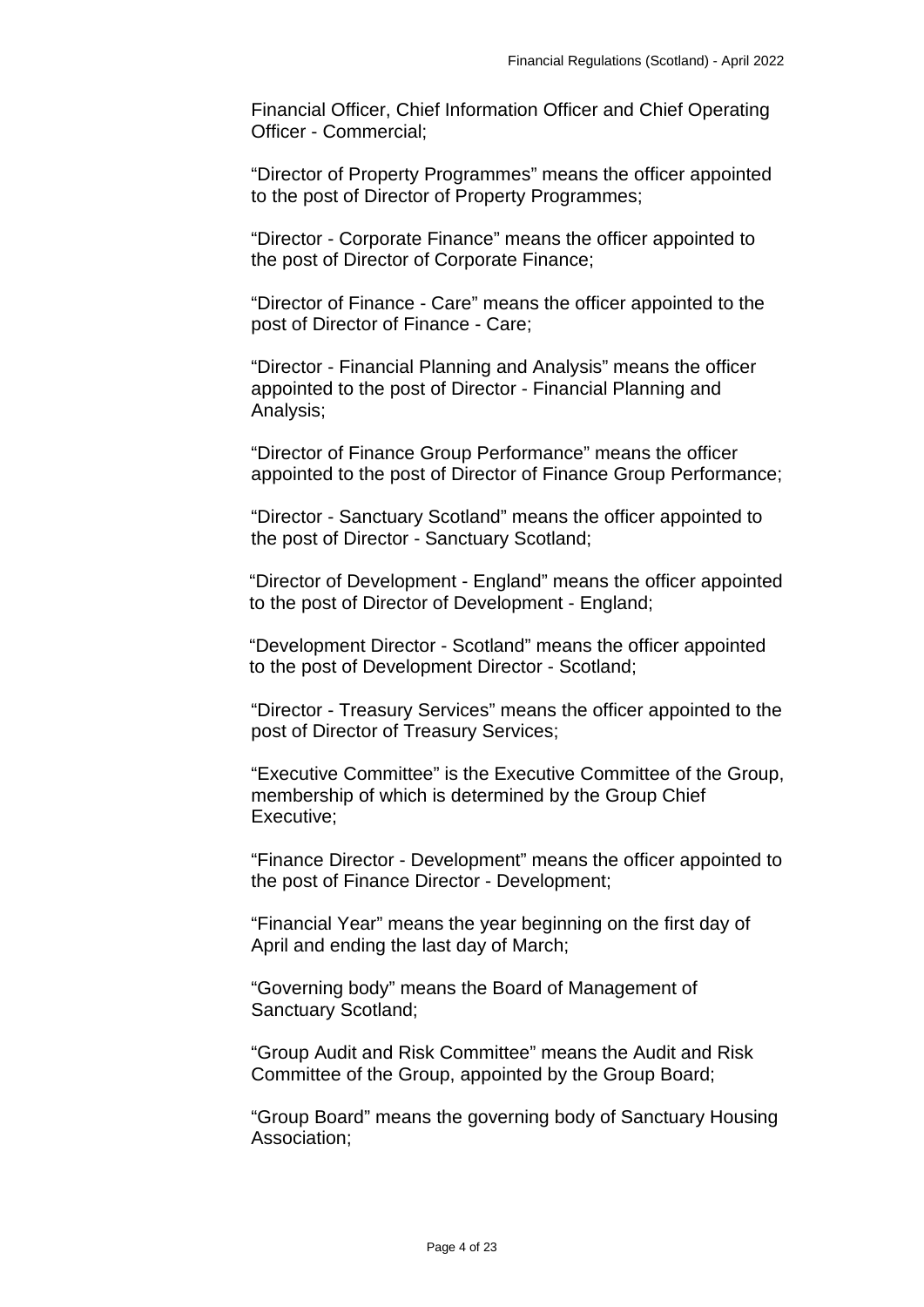Financial Officer, Chief Information Officer and Chief Operating Officer - Commercial;

"Director of Property Programmes" means the officer appointed to the post of Director of Property Programmes;

"Director - Corporate Finance" means the officer appointed to the post of Director of Corporate Finance;

"Director of Finance - Care" means the officer appointed to the post of Director of Finance - Care;

"Director - Financial Planning and Analysis" means the officer appointed to the post of Director - Financial Planning and Analysis;

"Director of Finance Group Performance" means the officer appointed to the post of Director of Finance Group Performance;

"Director - Sanctuary Scotland" means the officer appointed to the post of Director - Sanctuary Scotland;

"Director of Development - England" means the officer appointed to the post of Director of Development - England;

"Development Director - Scotland" means the officer appointed to the post of Development Director - Scotland;

"Director - Treasury Services" means the officer appointed to the post of Director of Treasury Services;

"Executive Committee" is the Executive Committee of the Group, membership of which is determined by the Group Chief Executive;

"Finance Director - Development" means the officer appointed to the post of Finance Director - Development;

"Financial Year" means the year beginning on the first day of April and ending the last day of March;

"Governing body" means the Board of Management of Sanctuary Scotland;

"Group Audit and Risk Committee" means the Audit and Risk Committee of the Group, appointed by the Group Board;

"Group Board" means the governing body of Sanctuary Housing Association;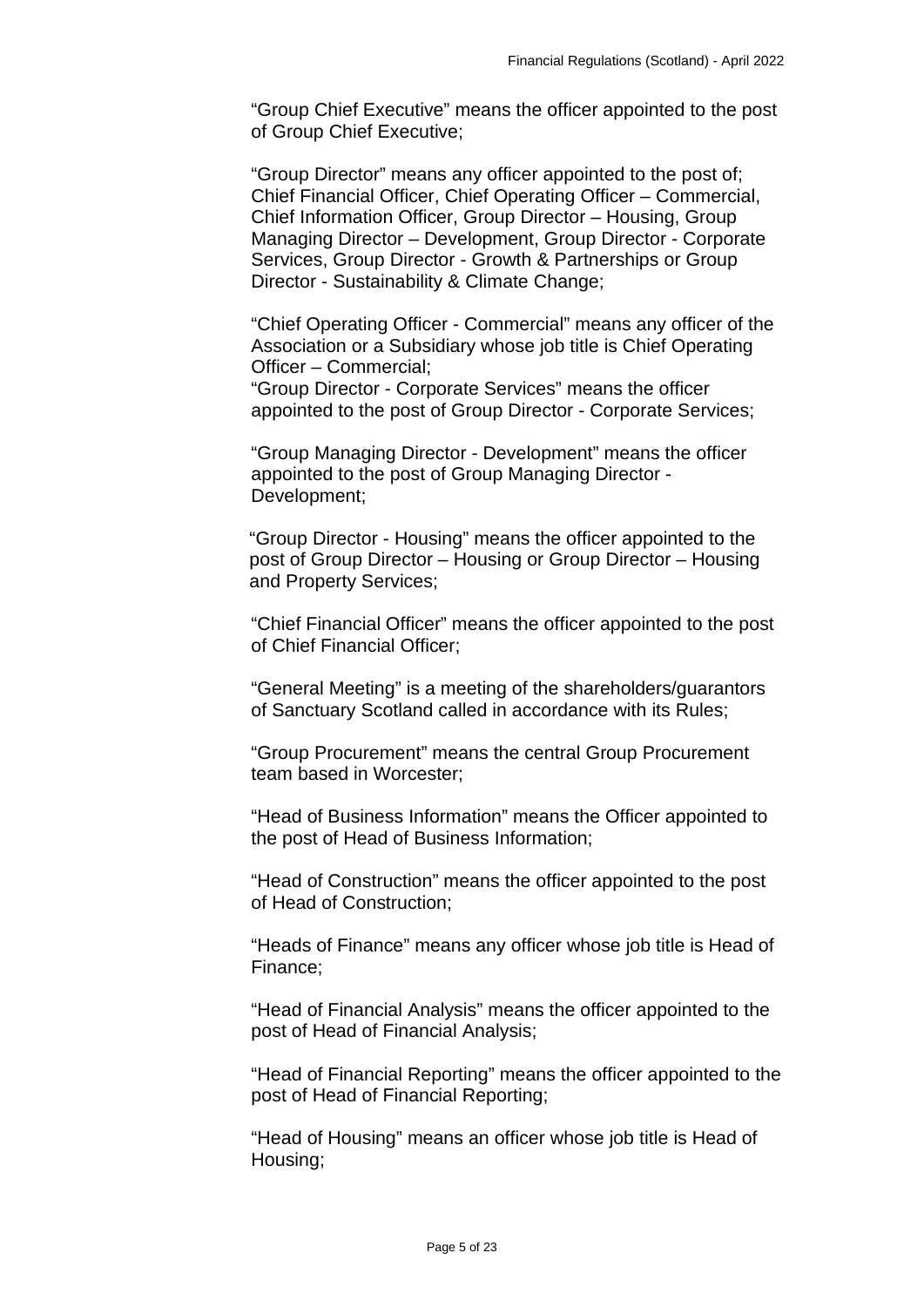"Group Chief Executive" means the officer appointed to the post of Group Chief Executive;

"Group Director" means any officer appointed to the post of; Chief Financial Officer, Chief Operating Officer – Commercial, Chief Information Officer, Group Director – Housing, Group Managing Director – Development, Group Director - Corporate Services, Group Director - Growth & Partnerships or Group Director - Sustainability & Climate Change;

"Chief Operating Officer - Commercial" means any officer of the Association or a Subsidiary whose job title is Chief Operating Officer – Commercial;

"Group Director - Corporate Services" means the officer appointed to the post of Group Director - Corporate Services;

"Group Managing Director - Development" means the officer appointed to the post of Group Managing Director - Development;

"Group Director - Housing" means the officer appointed to the post of Group Director – Housing or Group Director – Housing and Property Services;

"Chief Financial Officer" means the officer appointed to the post of Chief Financial Officer;

"General Meeting" is a meeting of the shareholders/guarantors of Sanctuary Scotland called in accordance with its Rules;

"Group Procurement" means the central Group Procurement team based in Worcester;

"Head of Business Information" means the Officer appointed to the post of Head of Business Information;

"Head of Construction" means the officer appointed to the post of Head of Construction;

"Heads of Finance" means any officer whose job title is Head of Finance;

"Head of Financial Analysis" means the officer appointed to the post of Head of Financial Analysis;

"Head of Financial Reporting" means the officer appointed to the post of Head of Financial Reporting;

"Head of Housing" means an officer whose job title is Head of Housing;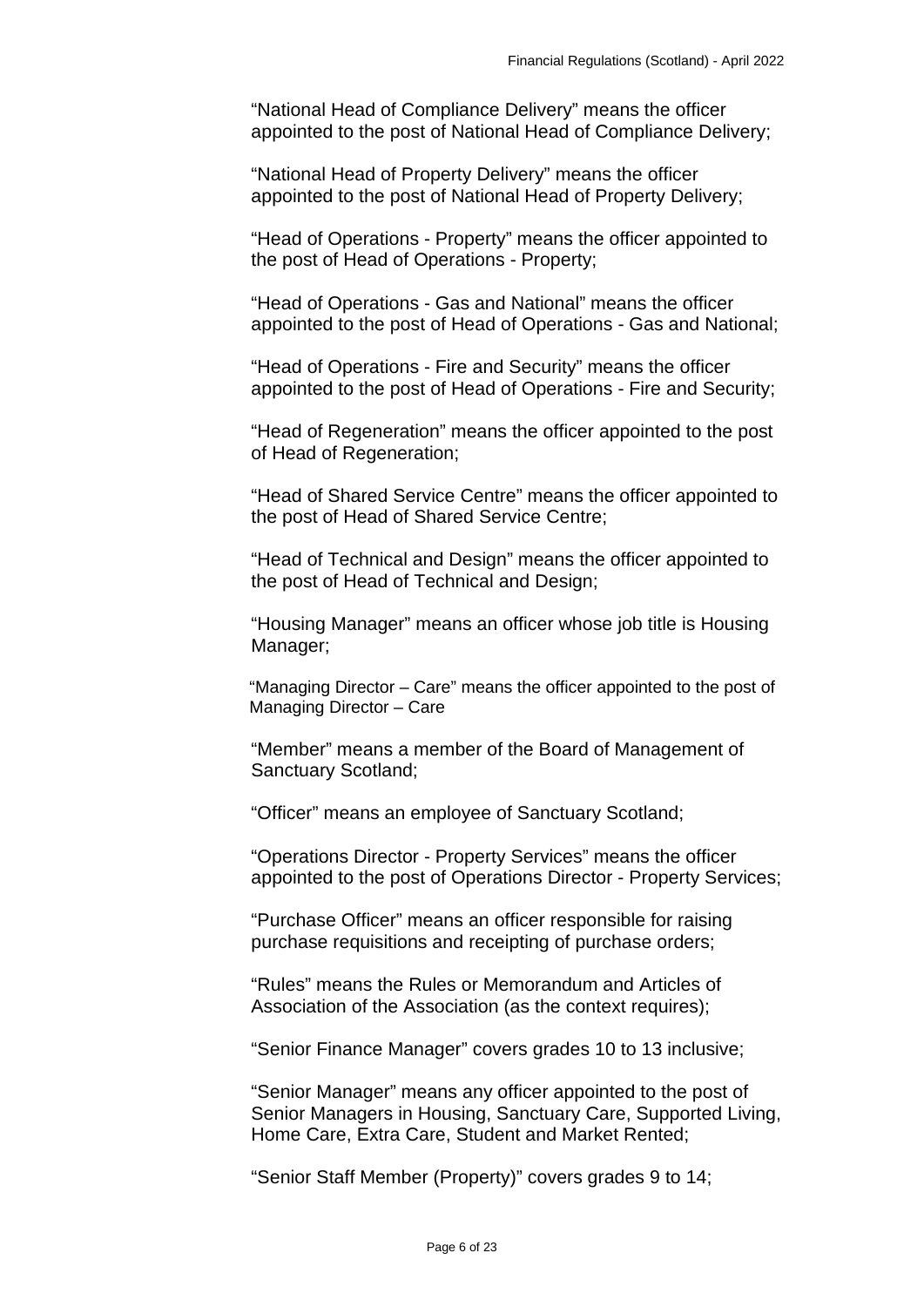"National Head of Compliance Delivery" means the officer appointed to the post of National Head of Compliance Delivery;

"National Head of Property Delivery" means the officer appointed to the post of National Head of Property Delivery;

"Head of Operations - Property" means the officer appointed to the post of Head of Operations - Property;

"Head of Operations - Gas and National" means the officer appointed to the post of Head of Operations - Gas and National;

"Head of Operations - Fire and Security" means the officer appointed to the post of Head of Operations - Fire and Security;

"Head of Regeneration" means the officer appointed to the post of Head of Regeneration;

"Head of Shared Service Centre" means the officer appointed to the post of Head of Shared Service Centre;

"Head of Technical and Design" means the officer appointed to the post of Head of Technical and Design;

"Housing Manager" means an officer whose job title is Housing Manager;

"Managing Director – Care" means the officer appointed to the post of Managing Director – Care

"Member" means a member of the Board of Management of Sanctuary Scotland;

"Officer" means an employee of Sanctuary Scotland;

"Operations Director - Property Services" means the officer appointed to the post of Operations Director - Property Services;

"Purchase Officer" means an officer responsible for raising purchase requisitions and receipting of purchase orders;

"Rules" means the Rules or Memorandum and Articles of Association of the Association (as the context requires);

"Senior Finance Manager" covers grades 10 to 13 inclusive;

"Senior Manager" means any officer appointed to the post of Senior Managers in Housing, Sanctuary Care, Supported Living, Home Care, Extra Care, Student and Market Rented;

"Senior Staff Member (Property)" covers grades 9 to 14;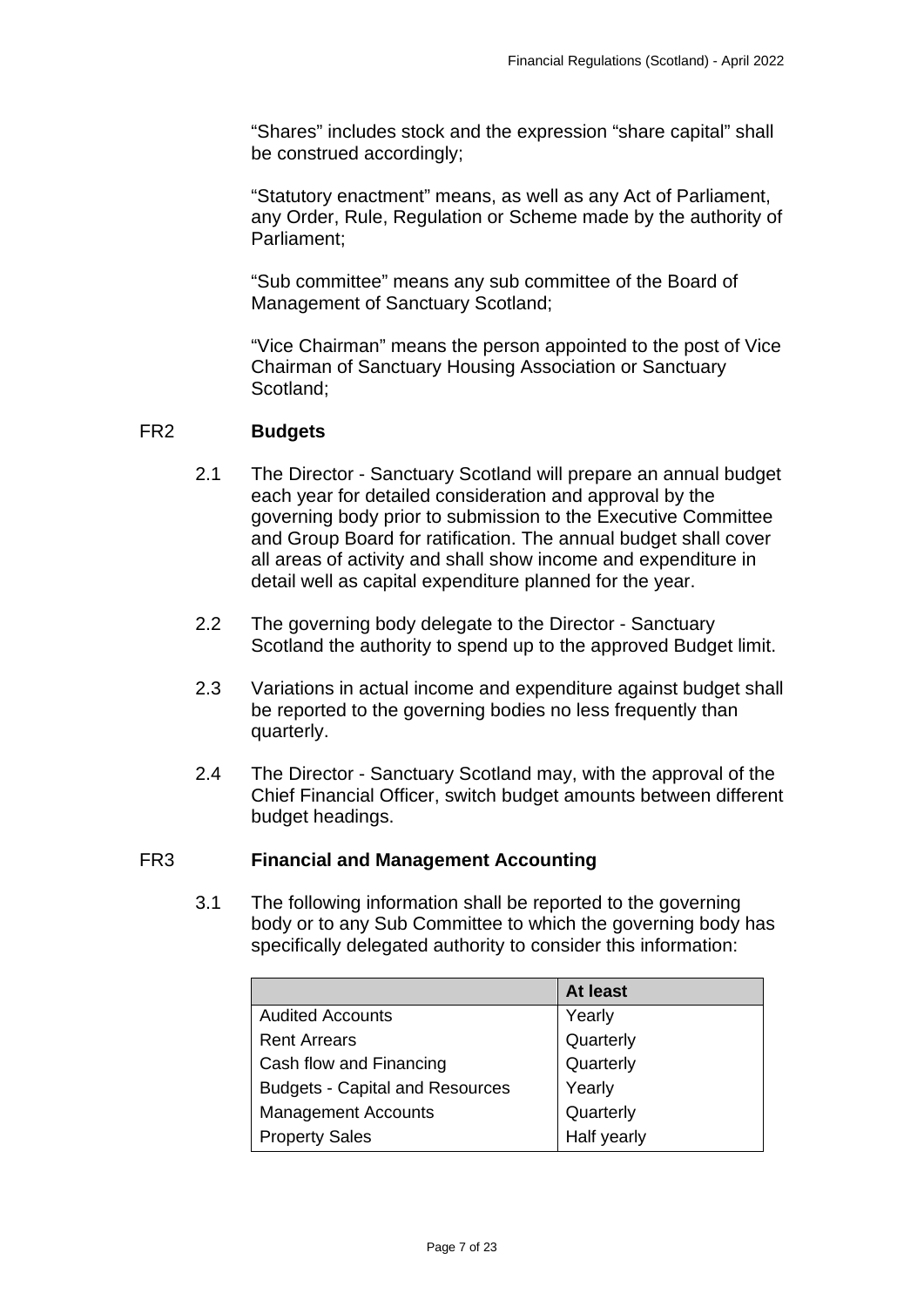"Shares" includes stock and the expression "share capital" shall be construed accordingly;

"Statutory enactment" means, as well as any Act of Parliament, any Order, Rule, Regulation or Scheme made by the authority of Parliament;

"Sub committee" means any sub committee of the Board of Management of Sanctuary Scotland;

"Vice Chairman" means the person appointed to the post of Vice Chairman of Sanctuary Housing Association or Sanctuary Scotland;

#### <span id="page-6-0"></span>FR2 **Budgets**

- 2.1 The Director Sanctuary Scotland will prepare an annual budget each year for detailed consideration and approval by the governing body prior to submission to the Executive Committee and Group Board for ratification. The annual budget shall cover all areas of activity and shall show income and expenditure in detail well as capital expenditure planned for the year.
- 2.2 The governing body delegate to the Director Sanctuary Scotland the authority to spend up to the approved Budget limit.
- 2.3 Variations in actual income and expenditure against budget shall be reported to the governing bodies no less frequently than quarterly.
- 2.4 The Director Sanctuary Scotland may, with the approval of the Chief Financial Officer, switch budget amounts between different budget headings.

#### <span id="page-6-1"></span>FR3 **Financial and Management Accounting**

3.1 The following information shall be reported to the governing body or to any Sub Committee to which the governing body has specifically delegated authority to consider this information:

|                                        | At least    |
|----------------------------------------|-------------|
| <b>Audited Accounts</b>                | Yearly      |
| <b>Rent Arrears</b>                    | Quarterly   |
| Cash flow and Financing                | Quarterly   |
| <b>Budgets - Capital and Resources</b> | Yearly      |
| <b>Management Accounts</b>             | Quarterly   |
| <b>Property Sales</b>                  | Half yearly |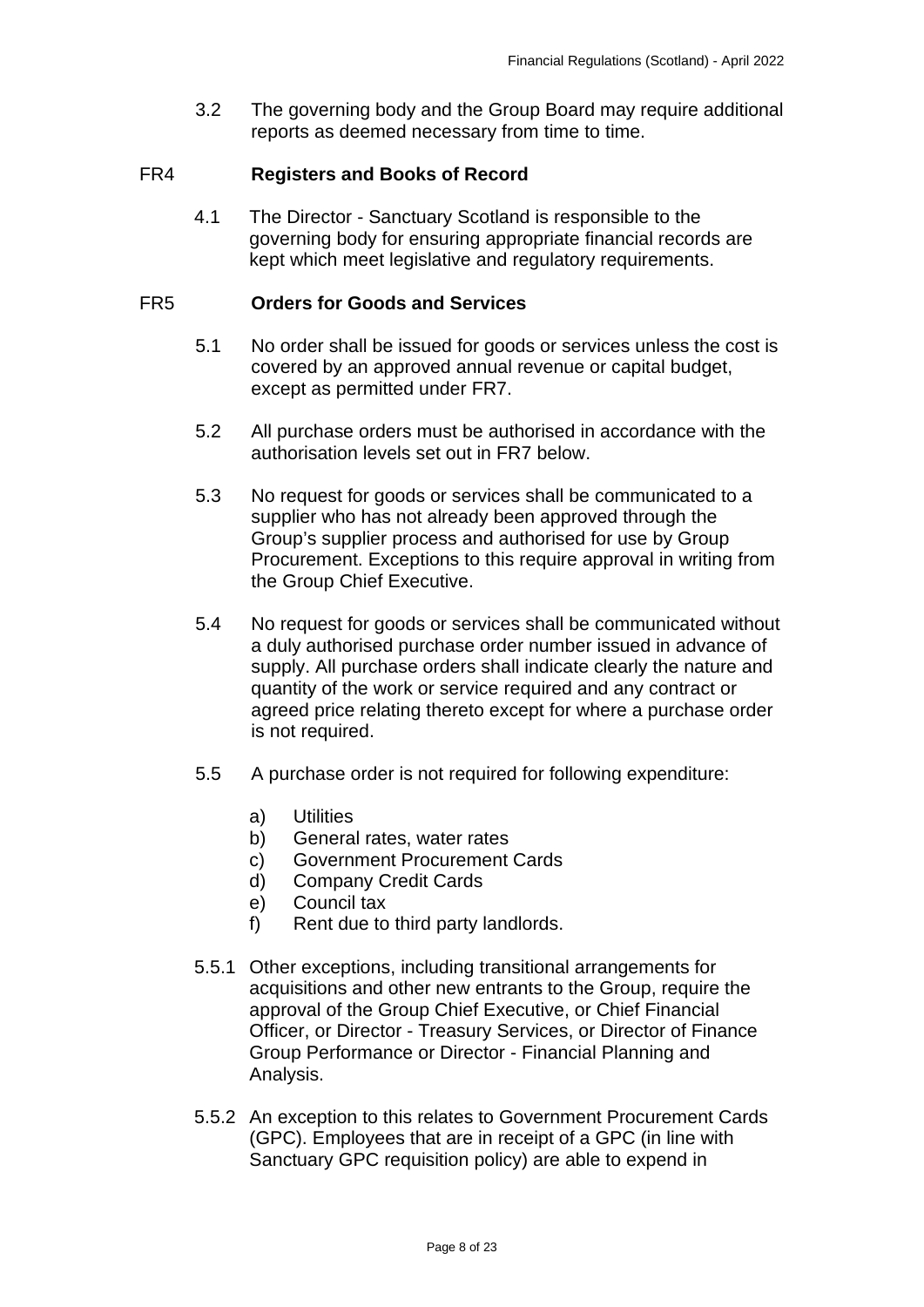3.2 The governing body and the Group Board may require additional reports as deemed necessary from time to time.

### <span id="page-7-0"></span>FR4 **Registers and Books of Record**

4.1 The Director - Sanctuary Scotland is responsible to the governing body for ensuring appropriate financial records are kept which meet legislative and regulatory requirements.

#### <span id="page-7-1"></span>FR5 **Orders for Goods and Services**

- 5.1 No order shall be issued for goods or services unless the cost is covered by an approved annual revenue or capital budget, except as permitted under FR7.
- 5.2 All purchase orders must be authorised in accordance with the authorisation levels set out in FR7 below.
- 5.3 No request for goods or services shall be communicated to a supplier who has not already been approved through the Group's supplier process and authorised for use by Group Procurement. Exceptions to this require approval in writing from the Group Chief Executive.
- 5.4 No request for goods or services shall be communicated without a duly authorised purchase order number issued in advance of supply. All purchase orders shall indicate clearly the nature and quantity of the work or service required and any contract or agreed price relating thereto except for where a purchase order is not required.
- 5.5 A purchase order is not required for following expenditure:
	- a) Utilities
	- b) General rates, water rates
	- c) Government Procurement Cards
	- d) Company Credit Cards
	- e) Council tax
	- f) Rent due to third party landlords.
- 5.5.1 Other exceptions, including transitional arrangements for acquisitions and other new entrants to the Group, require the approval of the Group Chief Executive, or Chief Financial Officer, or Director - Treasury Services, or Director of Finance Group Performance or Director - Financial Planning and Analysis.
- 5.5.2 An exception to this relates to Government Procurement Cards (GPC). Employees that are in receipt of a GPC (in line with Sanctuary GPC requisition policy) are able to expend in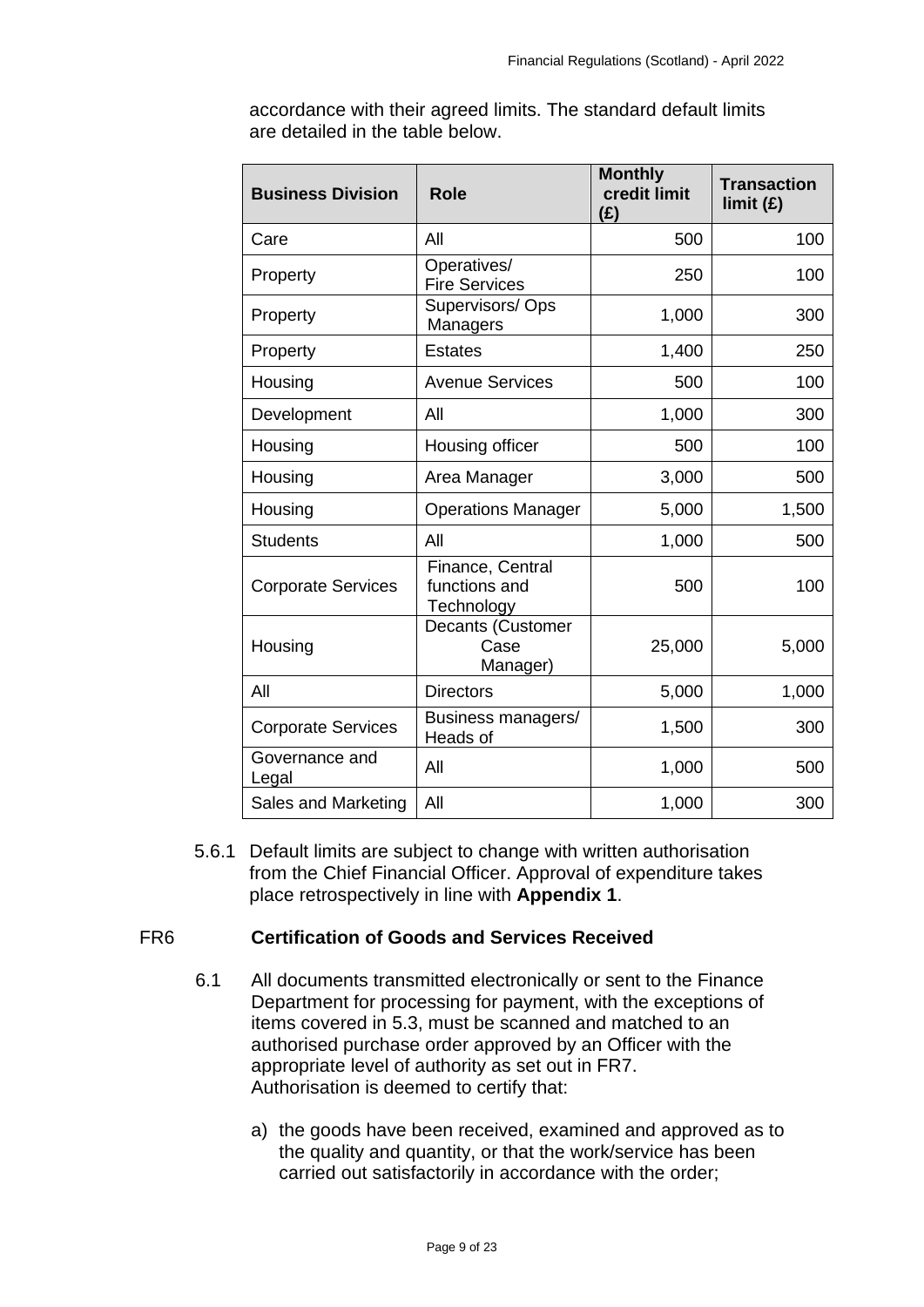| <b>Business Division</b>  | <b>Role</b>                                     | <b>Monthly</b><br>credit limit<br>(E) | <b>Transaction</b><br>limit (E) |
|---------------------------|-------------------------------------------------|---------------------------------------|---------------------------------|
| Care                      | All                                             | 500                                   | 100                             |
| Property                  | Operatives/<br><b>Fire Services</b>             | 250                                   | 100                             |
| Property                  | Supervisors/Ops<br>Managers                     | 1,000                                 | 300                             |
| Property                  | <b>Estates</b>                                  | 1,400                                 | 250                             |
| Housing                   | <b>Avenue Services</b>                          | 500                                   | 100                             |
| Development               | All                                             | 1,000                                 | 300                             |
| Housing                   | Housing officer                                 | 500                                   | 100                             |
| Housing                   | Area Manager                                    | 3,000                                 | 500                             |
| Housing                   | <b>Operations Manager</b>                       | 5,000                                 | 1,500                           |
| <b>Students</b>           | All                                             | 1,000                                 | 500                             |
| <b>Corporate Services</b> | Finance, Central<br>functions and<br>Technology | 500                                   | 100                             |
| Housing                   | Decants (Customer<br>Case<br>Manager)           | 25,000                                | 5,000                           |
| All                       | <b>Directors</b>                                | 5,000                                 | 1,000                           |
| <b>Corporate Services</b> | Business managers/<br>Heads of                  | 1,500                                 | 300                             |
| Governance and<br>Legal   | All                                             | 1,000                                 | 500                             |
| Sales and Marketing       | All                                             | 1,000                                 | 300                             |

accordance with their agreed limits. The standard default limits are detailed in the table below.

5.6.1 Default limits are subject to change with written authorisation from the Chief Financial Officer. Approval of expenditure takes place retrospectively in line with **Appendix 1**.

# <span id="page-8-0"></span>FR6 **Certification of Goods and Services Received**

- 6.1 All documents transmitted electronically or sent to the Finance Department for processing for payment, with the exceptions of items covered in 5.3, must be scanned and matched to an authorised purchase order approved by an Officer with the appropriate level of authority as set out in FR7. Authorisation is deemed to certify that:
	- a) the goods have been received, examined and approved as to the quality and quantity, or that the work/service has been carried out satisfactorily in accordance with the order;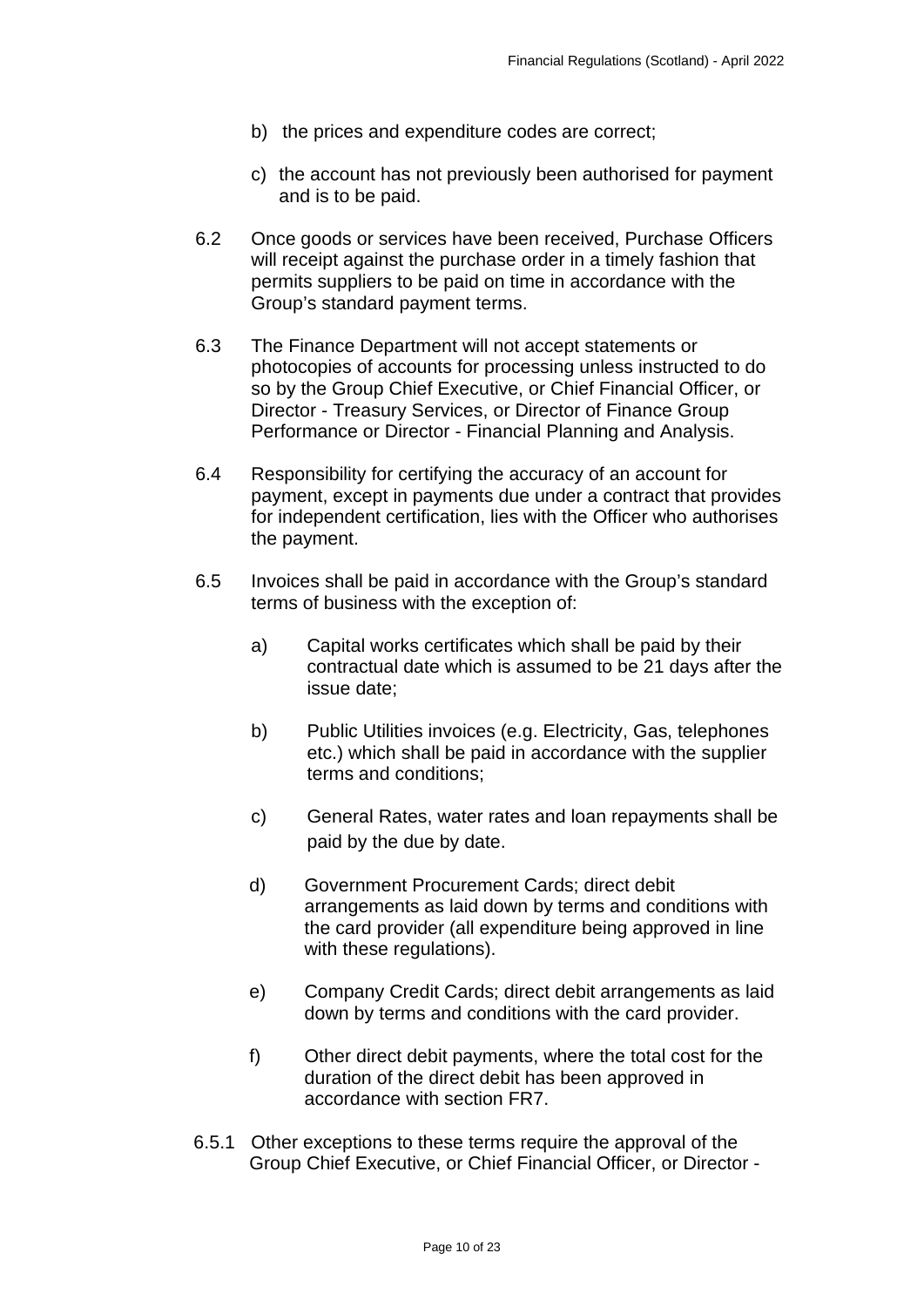- b) the prices and expenditure codes are correct;
- c) the account has not previously been authorised for payment and is to be paid.
- 6.2 Once goods or services have been received, Purchase Officers will receipt against the purchase order in a timely fashion that permits suppliers to be paid on time in accordance with the Group's standard payment terms.
- 6.3 The Finance Department will not accept statements or photocopies of accounts for processing unless instructed to do so by the Group Chief Executive, or Chief Financial Officer, or Director - Treasury Services, or Director of Finance Group Performance or Director - Financial Planning and Analysis.
- 6.4 Responsibility for certifying the accuracy of an account for payment, except in payments due under a contract that provides for independent certification, lies with the Officer who authorises the payment.
- 6.5 Invoices shall be paid in accordance with the Group's standard terms of business with the exception of:
	- a) Capital works certificates which shall be paid by their contractual date which is assumed to be 21 days after the issue date;
	- b) Public Utilities invoices (e.g. Electricity, Gas, telephones etc.) which shall be paid in accordance with the supplier terms and conditions;
	- c) General Rates, water rates and loan repayments shall be paid by the due by date.
	- d) Government Procurement Cards; direct debit arrangements as laid down by terms and conditions with the card provider (all expenditure being approved in line with these regulations).
	- e) Company Credit Cards; direct debit arrangements as laid down by terms and conditions with the card provider.
	- f) Other direct debit payments, where the total cost for the duration of the direct debit has been approved in accordance with section FR7.
- 6.5.1 Other exceptions to these terms require the approval of the Group Chief Executive, or Chief Financial Officer, or Director -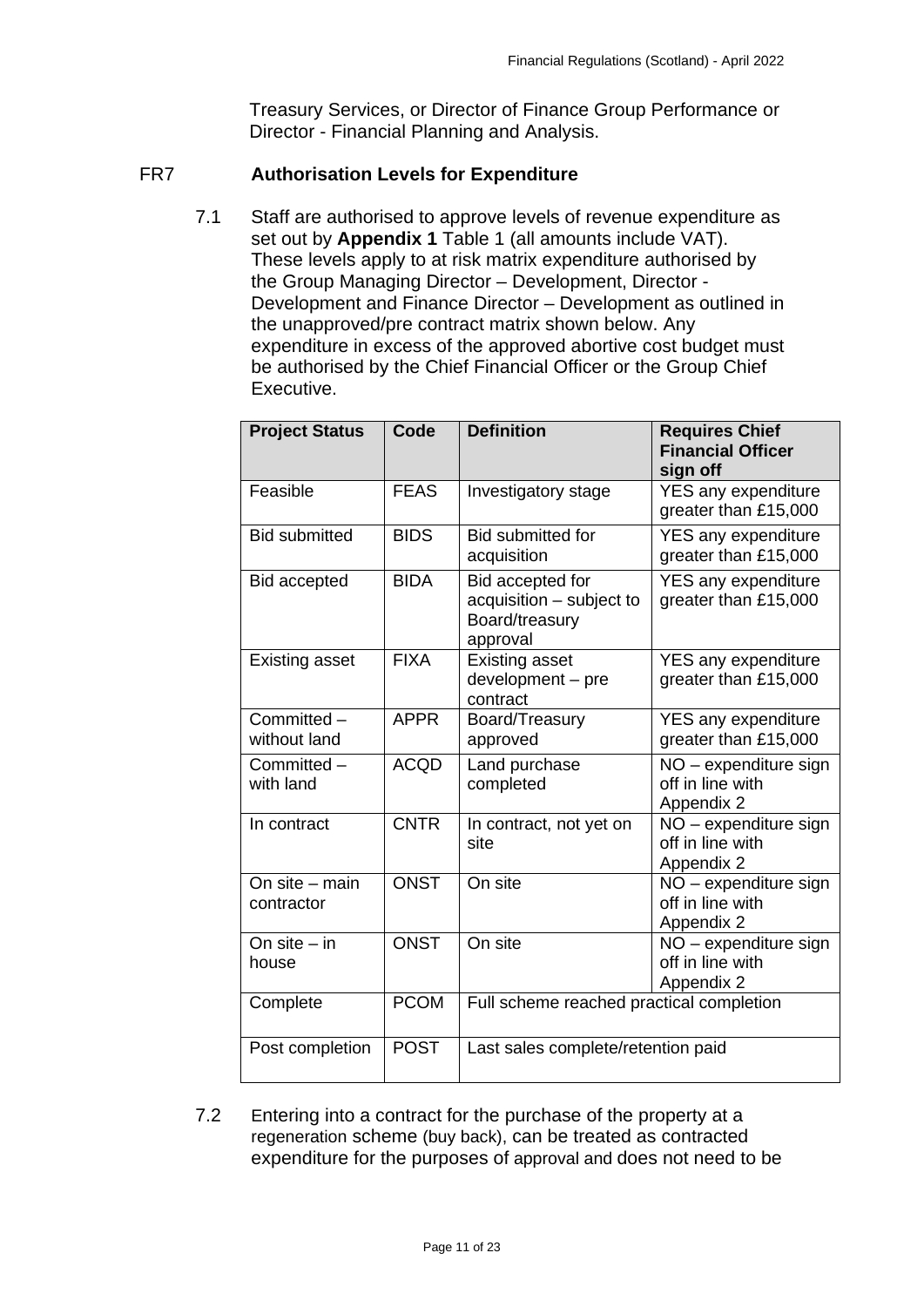Treasury Services, or Director of Finance Group Performance or Director - Financial Planning and Analysis.

## <span id="page-10-0"></span>FR7 **Authorisation Levels for Expenditure**

7.1 Staff are authorised to approve levels of revenue expenditure as set out by **Appendix 1** Table 1 (all amounts include VAT). These levels apply to at risk matrix expenditure authorised by the Group Managing Director – Development, Director - Development and Finance Director – Development as outlined in the unapproved/pre contract matrix shown below. Any expenditure in excess of the approved abortive cost budget must be authorised by the Chief Financial Officer or the Group Chief Executive.

| <b>Project Status</b>        | Code        | <b>Definition</b>                                                          | <b>Requires Chief</b><br><b>Financial Officer</b><br>sign off |  |
|------------------------------|-------------|----------------------------------------------------------------------------|---------------------------------------------------------------|--|
| Feasible                     | <b>FEAS</b> | Investigatory stage                                                        | YES any expenditure<br>greater than £15,000                   |  |
| <b>Bid submitted</b>         | <b>BIDS</b> | <b>Bid submitted for</b><br>acquisition                                    | <b>YES any expenditure</b><br>greater than £15,000            |  |
| <b>Bid accepted</b>          | <b>BIDA</b> | Bid accepted for<br>acquisition - subject to<br>Board/treasury<br>approval | <b>YES any expenditure</b><br>greater than £15,000            |  |
| <b>Existing asset</b>        | <b>FIXA</b> | <b>Existing asset</b><br>development - pre<br>contract                     | <b>YES any expenditure</b><br>greater than £15,000            |  |
| Committed -<br>without land  | <b>APPR</b> | Board/Treasury<br>approved                                                 | <b>YES any expenditure</b><br>greater than £15,000            |  |
| Committed -<br>with land     | <b>ACQD</b> | Land purchase<br>completed                                                 | NO - expenditure sign<br>off in line with<br>Appendix 2       |  |
| In contract                  | <b>CNTR</b> | In contract, not yet on<br>site                                            | $NO -$ expenditure sign<br>off in line with<br>Appendix 2     |  |
| On site - main<br>contractor | <b>ONST</b> | On site                                                                    | NO - expenditure sign<br>off in line with<br>Appendix 2       |  |
| On $site - in$<br>house      | <b>ONST</b> | On site                                                                    | NO - expenditure sign<br>off in line with<br>Appendix 2       |  |
| Complete                     | <b>PCOM</b> | Full scheme reached practical completion                                   |                                                               |  |
| Post completion              | <b>POST</b> | Last sales complete/retention paid                                         |                                                               |  |

7.2 Entering into a contract for the purchase of the property at a regeneration scheme (buy back), can be treated as contracted expenditure for the purposes of approval and does not need to be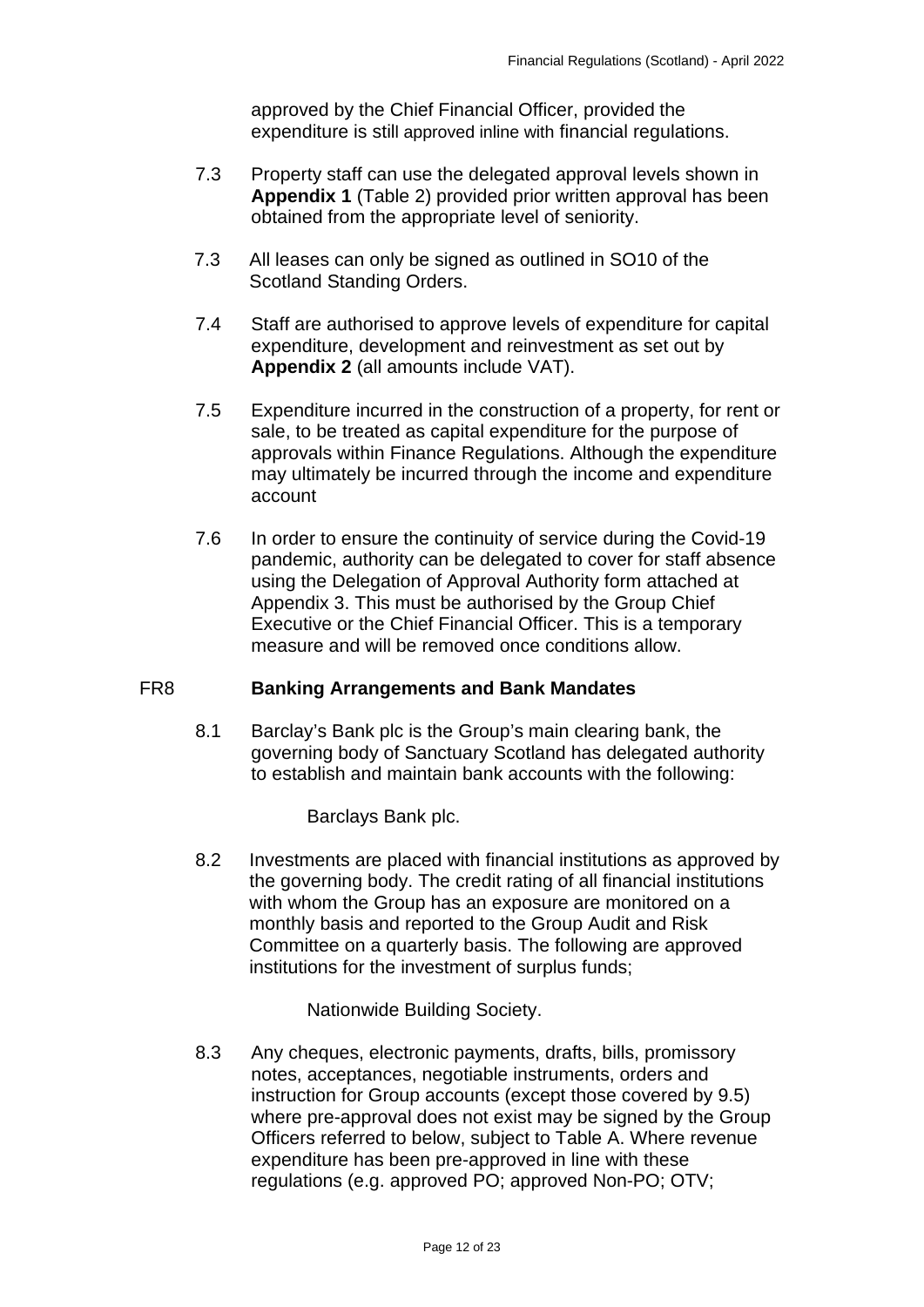approved by the Chief Financial Officer, provided the expenditure is still approved inline with financial regulations.

- 7.3 Property staff can use the delegated approval levels shown in **Appendix 1** (Table 2) provided prior written approval has been obtained from the appropriate level of seniority.
- 7.3 All leases can only be signed as outlined in SO10 of the Scotland Standing Orders.
- 7.4 Staff are authorised to approve levels of expenditure for capital expenditure, development and reinvestment as set out by **Appendix 2** (all amounts include VAT).
- 7.5 Expenditure incurred in the construction of a property, for rent or sale, to be treated as capital expenditure for the purpose of approvals within Finance Regulations. Although the expenditure may ultimately be incurred through the income and expenditure account
- 7.6 In order to ensure the continuity of service during the Covid-19 pandemic, authority can be delegated to cover for staff absence using the Delegation of Approval Authority form attached at Appendix 3. This must be authorised by the Group Chief Executive or the Chief Financial Officer. This is a temporary measure and will be removed once conditions allow.

## <span id="page-11-0"></span>FR8 **Banking Arrangements and Bank Mandates**

8.1 Barclay's Bank plc is the Group's main clearing bank, the governing body of Sanctuary Scotland has delegated authority to establish and maintain bank accounts with the following:

Barclays Bank plc.

8.2 Investments are placed with financial institutions as approved by the governing body. The credit rating of all financial institutions with whom the Group has an exposure are monitored on a monthly basis and reported to the Group Audit and Risk Committee on a quarterly basis. The following are approved institutions for the investment of surplus funds;

Nationwide Building Society.

8.3 Any cheques, electronic payments, drafts, bills, promissory notes, acceptances, negotiable instruments, orders and instruction for Group accounts (except those covered by 9.5) where pre-approval does not exist may be signed by the Group Officers referred to below, subject to Table A. Where revenue expenditure has been pre-approved in line with these regulations (e.g. approved PO; approved Non-PO; OTV;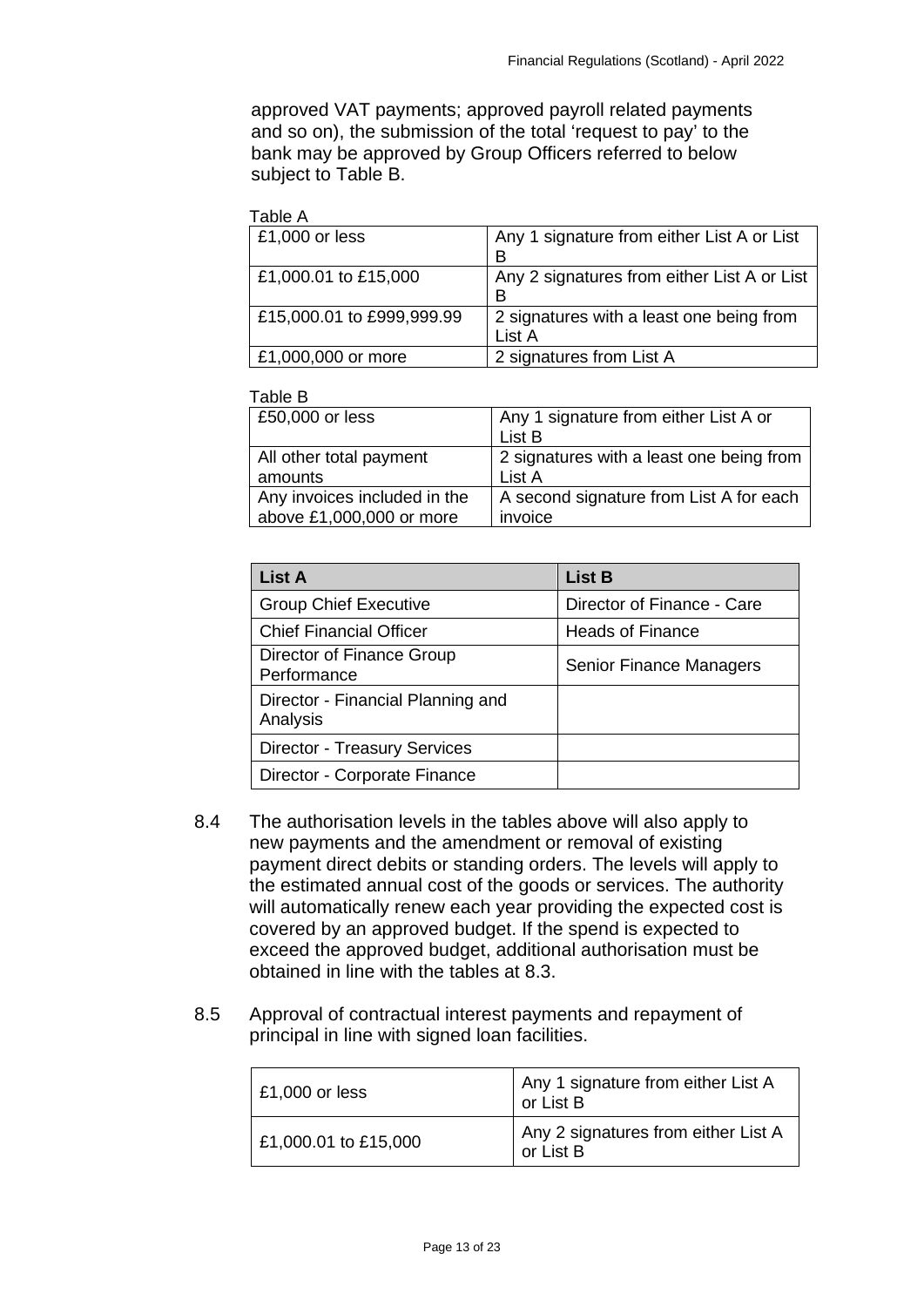approved VAT payments; approved payroll related payments and so on), the submission of the total 'request to pay' to the bank may be approved by Group Officers referred to below subject to Table B.

#### Table A

| Any 1 signature from either List A or List  |
|---------------------------------------------|
|                                             |
| Any 2 signatures from either List A or List |
|                                             |
| 2 signatures with a least one being from    |
| List A                                      |
| 2 signatures from List A                    |
|                                             |

#### Table B

| £50,000 or less              | Any 1 signature from either List A or    |  |  |
|------------------------------|------------------------------------------|--|--|
|                              | List B                                   |  |  |
| All other total payment      | 2 signatures with a least one being from |  |  |
| amounts                      | List A                                   |  |  |
| Any invoices included in the | A second signature from List A for each  |  |  |
| above £1,000,000 or more     | invoice                                  |  |  |
|                              |                                          |  |  |

| <b>List A</b>                                 | <b>List B</b>                  |
|-----------------------------------------------|--------------------------------|
| <b>Group Chief Executive</b>                  | Director of Finance - Care     |
| <b>Chief Financial Officer</b>                | <b>Heads of Finance</b>        |
| Director of Finance Group<br>Performance      | <b>Senior Finance Managers</b> |
| Director - Financial Planning and<br>Analysis |                                |
| <b>Director - Treasury Services</b>           |                                |
| Director - Corporate Finance                  |                                |

- 8.4 The authorisation levels in the tables above will also apply to new payments and the amendment or removal of existing payment direct debits or standing orders. The levels will apply to the estimated annual cost of the goods or services. The authority will automatically renew each year providing the expected cost is covered by an approved budget. If the spend is expected to exceed the approved budget, additional authorisation must be obtained in line with the tables at 8.3.
- 8.5 Approval of contractual interest payments and repayment of principal in line with signed loan facilities.

| $£1,000$ or less     | Any 1 signature from either List A<br>or List B  |
|----------------------|--------------------------------------------------|
| £1,000.01 to £15,000 | Any 2 signatures from either List A<br>or List B |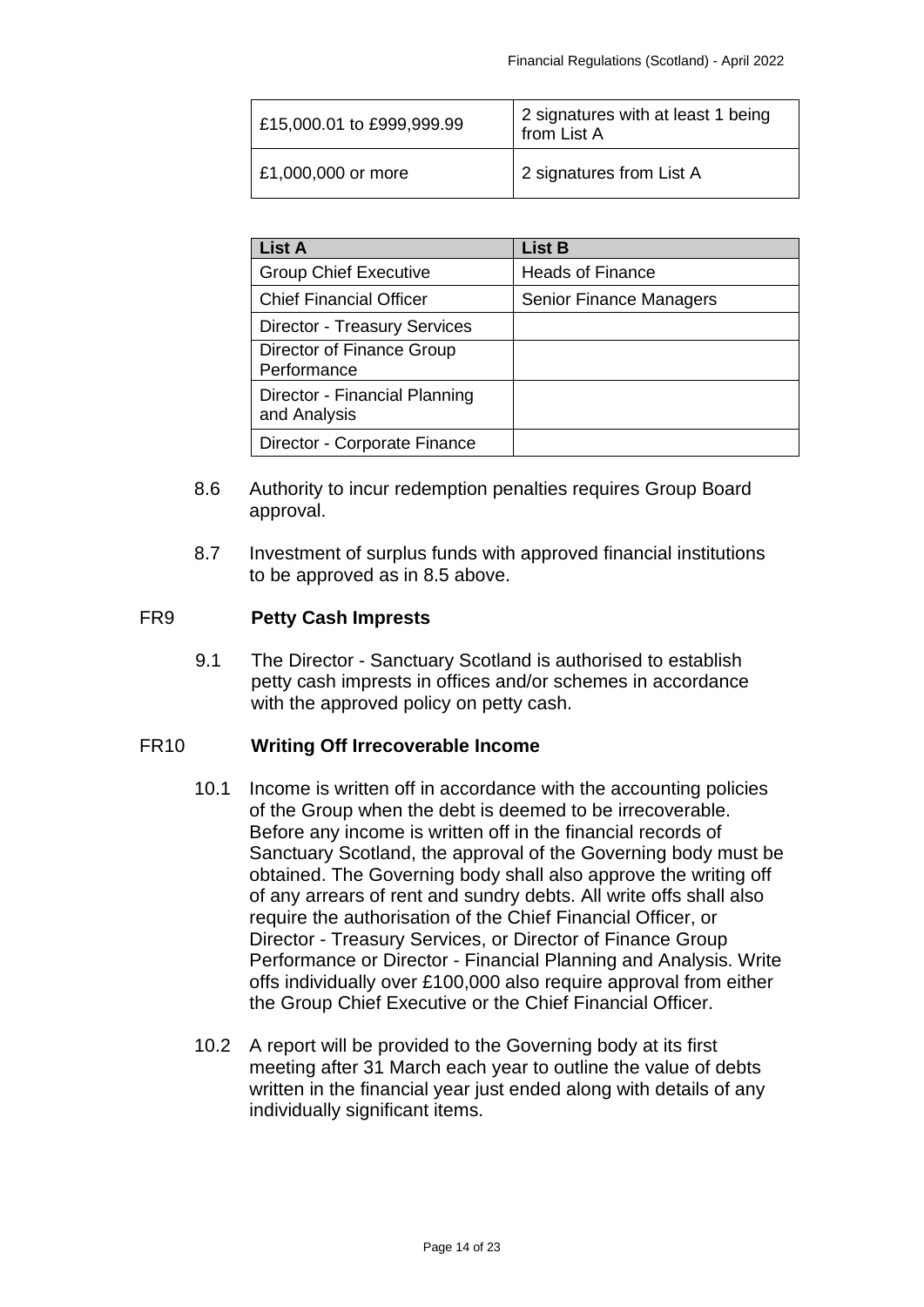| £15,000.01 to £999,999.99 | 2 signatures with at least 1 being<br>from List A |
|---------------------------|---------------------------------------------------|
| £1,000,000 or more        | 2 signatures from List A                          |

| <b>List A</b>                                 | <b>List B</b>                  |
|-----------------------------------------------|--------------------------------|
| <b>Group Chief Executive</b>                  | <b>Heads of Finance</b>        |
| <b>Chief Financial Officer</b>                | <b>Senior Finance Managers</b> |
| <b>Director - Treasury Services</b>           |                                |
| Director of Finance Group<br>Performance      |                                |
| Director - Financial Planning<br>and Analysis |                                |
| Director - Corporate Finance                  |                                |

- 8.6 Authority to incur redemption penalties requires Group Board approval.
- 8.7 Investment of surplus funds with approved financial institutions to be approved as in 8.5 above.

# <span id="page-13-0"></span>FR9 **Petty Cash Imprests**

9.1 The Director - Sanctuary Scotland is authorised to establish petty cash imprests in offices and/or schemes in accordance with the approved policy on petty cash.

# <span id="page-13-1"></span>FR10 **Writing Off Irrecoverable Income**

- 10.1 Income is written off in accordance with the accounting policies of the Group when the debt is deemed to be irrecoverable. Before any income is written off in the financial records of Sanctuary Scotland, the approval of the Governing body must be obtained. The Governing body shall also approve the writing off of any arrears of rent and sundry debts. All write offs shall also require the authorisation of the Chief Financial Officer, or Director - Treasury Services, or Director of Finance Group Performance or Director - Financial Planning and Analysis. Write offs individually over £100,000 also require approval from either the Group Chief Executive or the Chief Financial Officer.
- 10.2 A report will be provided to the Governing body at its first meeting after 31 March each year to outline the value of debts written in the financial year just ended along with details of any individually significant items.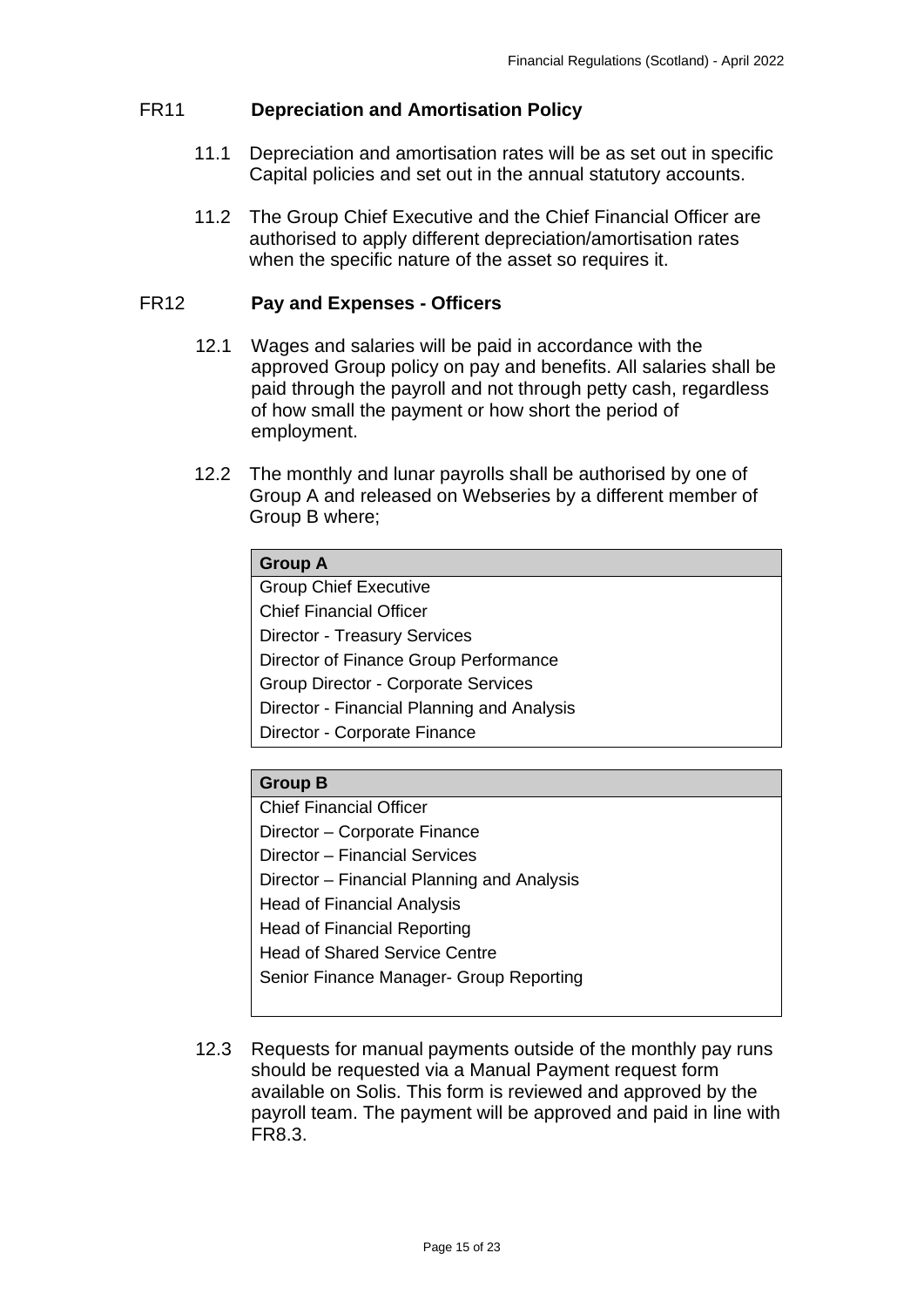# <span id="page-14-0"></span>FR11 **Depreciation and Amortisation Policy**

- 11.1 Depreciation and amortisation rates will be as set out in specific Capital policies and set out in the annual statutory accounts.
- 11.2 The Group Chief Executive and the Chief Financial Officer are authorised to apply different depreciation/amortisation rates when the specific nature of the asset so requires it.

## <span id="page-14-1"></span>FR12 **Pay and Expenses - Officers**

- 12.1 Wages and salaries will be paid in accordance with the approved Group policy on pay and benefits. All salaries shall be paid through the payroll and not through petty cash, regardless of how small the payment or how short the period of employment.
- 12.2 The monthly and lunar payrolls shall be authorised by one of Group A and released on Webseries by a different member of Group B where;

| <b>Group A</b>                             |
|--------------------------------------------|
| <b>Group Chief Executive</b>               |
| <b>Chief Financial Officer</b>             |
| <b>Director - Treasury Services</b>        |
| Director of Finance Group Performance      |
| <b>Group Director - Corporate Services</b> |
| Director - Financial Planning and Analysis |
| Director - Corporate Finance               |

# **Group B**

Chief Financial Officer Director – Corporate Finance Director – Financial Services Director – Financial Planning and Analysis Head of Financial Analysis Head of Financial Reporting Head of Shared Service Centre Senior Finance Manager- Group Reporting

12.3 Requests for manual payments outside of the monthly pay runs should be requested via a Manual Payment request form available on Solis. This form is reviewed and approved by the payroll team. The payment will be approved and paid in line with FR8.3.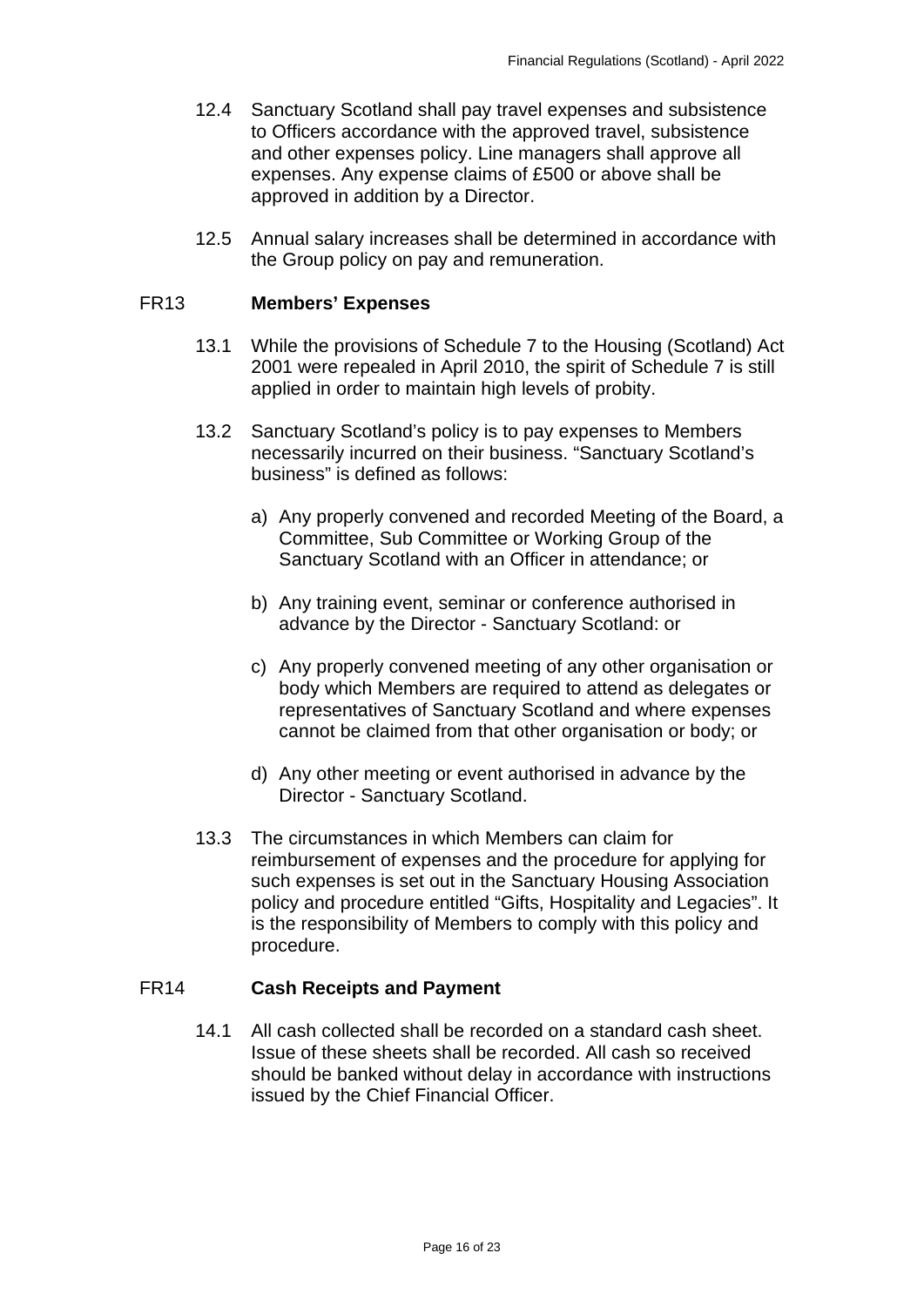- 12.4 Sanctuary Scotland shall pay travel expenses and subsistence to Officers accordance with the approved travel, subsistence and other expenses policy. Line managers shall approve all expenses. Any expense claims of £500 or above shall be approved in addition by a Director.
- 12.5 Annual salary increases shall be determined in accordance with the Group policy on pay and remuneration.

#### <span id="page-15-0"></span>FR13 **Members' Expenses**

- 13.1 While the provisions of Schedule 7 to the Housing (Scotland) Act 2001 were repealed in April 2010, the spirit of Schedule 7 is still applied in order to maintain high levels of probity.
- 13.2 Sanctuary Scotland's policy is to pay expenses to Members necessarily incurred on their business. "Sanctuary Scotland's business" is defined as follows:
	- a) Any properly convened and recorded Meeting of the Board, a Committee, Sub Committee or Working Group of the Sanctuary Scotland with an Officer in attendance; or
	- b) Any training event, seminar or conference authorised in advance by the Director - Sanctuary Scotland: or
	- c) Any properly convened meeting of any other organisation or body which Members are required to attend as delegates or representatives of Sanctuary Scotland and where expenses cannot be claimed from that other organisation or body; or
	- d) Any other meeting or event authorised in advance by the Director - Sanctuary Scotland.
- 13.3 The circumstances in which Members can claim for reimbursement of expenses and the procedure for applying for such expenses is set out in the Sanctuary Housing Association policy and procedure entitled "Gifts, Hospitality and Legacies". It is the responsibility of Members to comply with this policy and procedure.

#### <span id="page-15-1"></span>FR14 **Cash Receipts and Payment**

14.1 All cash collected shall be recorded on a standard cash sheet. Issue of these sheets shall be recorded. All cash so received should be banked without delay in accordance with instructions issued by the Chief Financial Officer.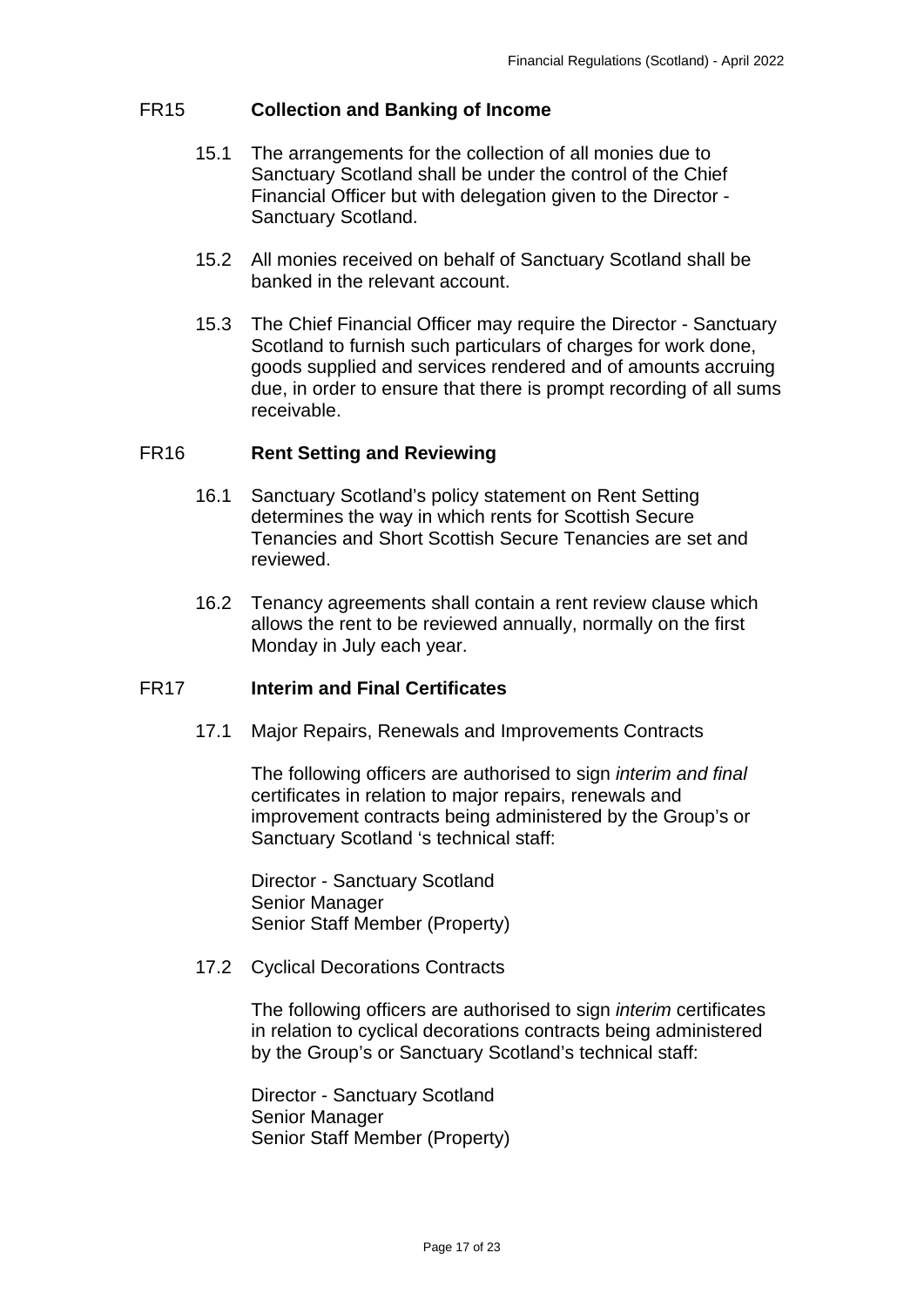## <span id="page-16-0"></span>FR15 **Collection and Banking of Income**

- 15.1 The arrangements for the collection of all monies due to Sanctuary Scotland shall be under the control of the Chief Financial Officer but with delegation given to the Director - Sanctuary Scotland.
- 15.2 All monies received on behalf of Sanctuary Scotland shall be banked in the relevant account.
- 15.3 The Chief Financial Officer may require the Director Sanctuary Scotland to furnish such particulars of charges for work done, goods supplied and services rendered and of amounts accruing due, in order to ensure that there is prompt recording of all sums receivable.

### <span id="page-16-1"></span>FR16 **Rent Setting and Reviewing**

- 16.1 Sanctuary Scotland's policy statement on Rent Setting determines the way in which rents for Scottish Secure Tenancies and Short Scottish Secure Tenancies are set and reviewed.
- 16.2 Tenancy agreements shall contain a rent review clause which allows the rent to be reviewed annually, normally on the first Monday in July each year.

#### <span id="page-16-2"></span>FR17 **Interim and Final Certificates**

17.1 Major Repairs, Renewals and Improvements Contracts

The following officers are authorised to sign *interim and final* certificates in relation to major repairs, renewals and improvement contracts being administered by the Group's or Sanctuary Scotland 's technical staff:

Director - Sanctuary Scotland Senior Manager Senior Staff Member (Property)

#### 17.2 Cyclical Decorations Contracts

The following officers are authorised to sign *interim* certificates in relation to cyclical decorations contracts being administered by the Group's or Sanctuary Scotland's technical staff:

Director - Sanctuary Scotland Senior Manager Senior Staff Member (Property)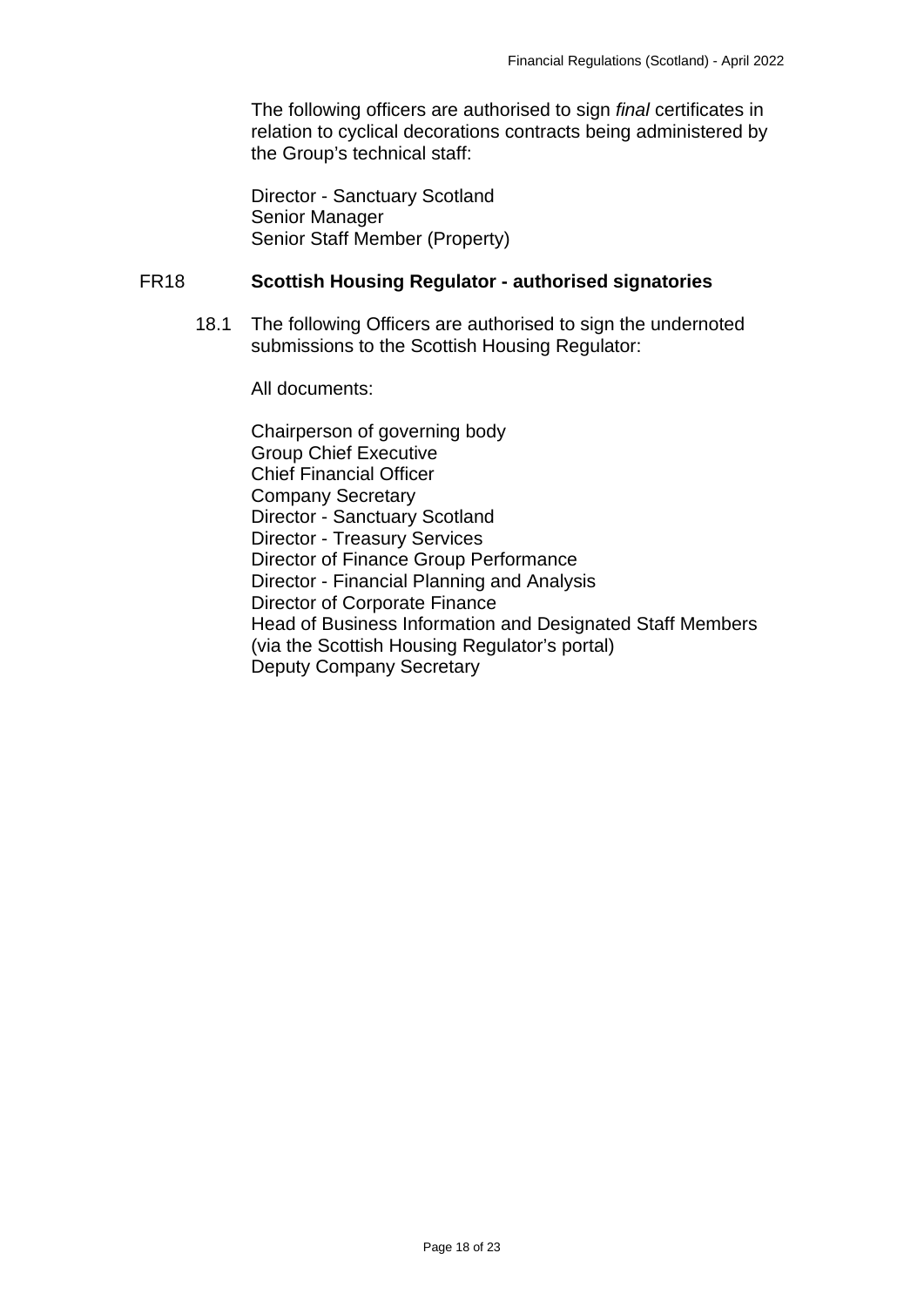The following officers are authorised to sign *final* certificates in relation to cyclical decorations contracts being administered by the Group's technical staff:

Director - Sanctuary Scotland Senior Manager Senior Staff Member (Property)

#### <span id="page-17-0"></span>FR18 **Scottish Housing Regulator - authorised signatories**

18.1 The following Officers are authorised to sign the undernoted submissions to the Scottish Housing Regulator:

All documents:

Chairperson of governing body Group Chief Executive Chief Financial Officer Company Secretary Director - Sanctuary Scotland Director - Treasury Services Director of Finance Group Performance Director - Financial Planning and Analysis Director of Corporate Finance Head of Business Information and Designated Staff Members (via the Scottish Housing Regulator's portal) Deputy Company Secretary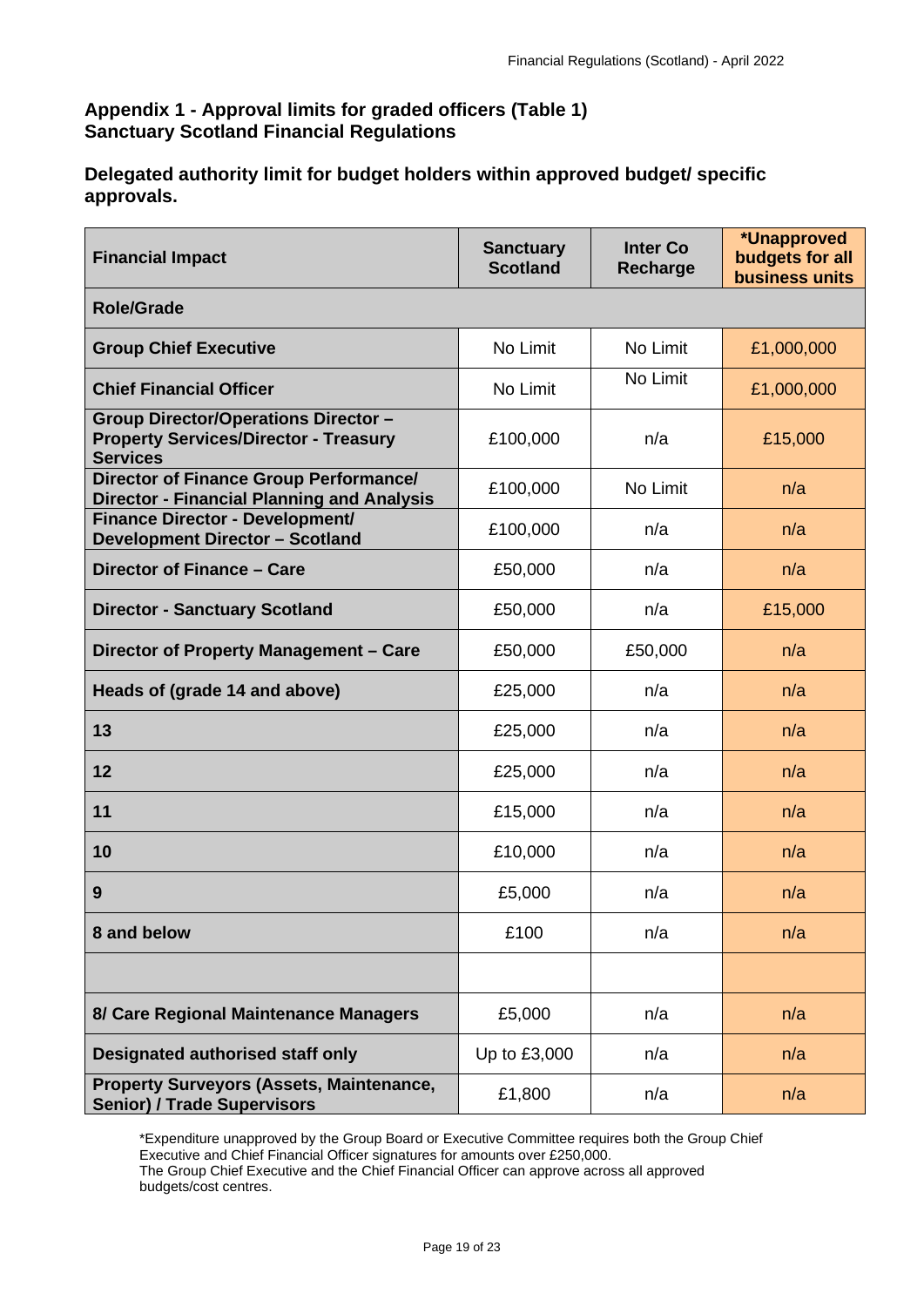# <span id="page-18-0"></span>**Appendix 1 - Approval limits for graded officers (Table 1) Sanctuary Scotland Financial Regulations**

**Delegated authority limit for budget holders within approved budget/ specific approvals.**

| <b>Financial Impact</b>                                                                                        | <b>Sanctuary</b><br><b>Scotland</b> | <b>Inter Co</b><br>Recharge | *Unapproved<br>budgets for all<br><b>business units</b> |  |  |
|----------------------------------------------------------------------------------------------------------------|-------------------------------------|-----------------------------|---------------------------------------------------------|--|--|
| <b>Role/Grade</b>                                                                                              |                                     |                             |                                                         |  |  |
| <b>Group Chief Executive</b>                                                                                   | No Limit                            | No Limit                    | £1,000,000                                              |  |  |
| <b>Chief Financial Officer</b>                                                                                 | No Limit                            | No Limit                    | £1,000,000                                              |  |  |
| <b>Group Director/Operations Director -</b><br><b>Property Services/Director - Treasury</b><br><b>Services</b> | £100,000                            | n/a                         | £15,000                                                 |  |  |
| Director of Finance Group Performance/<br><b>Director - Financial Planning and Analysis</b>                    | £100,000                            | No Limit                    | n/a                                                     |  |  |
| <b>Finance Director - Development/</b><br><b>Development Director - Scotland</b>                               | £100,000                            | n/a                         | n/a                                                     |  |  |
| Director of Finance - Care                                                                                     | £50,000                             | n/a                         | n/a                                                     |  |  |
| <b>Director - Sanctuary Scotland</b>                                                                           | £50,000                             | n/a                         | £15,000                                                 |  |  |
| Director of Property Management - Care                                                                         | £50,000                             | £50,000                     | n/a                                                     |  |  |
| Heads of (grade 14 and above)                                                                                  | £25,000                             | n/a                         | n/a                                                     |  |  |
| 13                                                                                                             | £25,000                             | n/a                         | n/a                                                     |  |  |
| 12                                                                                                             | £25,000                             | n/a                         | n/a                                                     |  |  |
| 11                                                                                                             | £15,000                             | n/a                         | n/a                                                     |  |  |
| 10                                                                                                             | £10,000                             | n/a                         | n/a                                                     |  |  |
| 9                                                                                                              | £5,000                              | n/a                         | n/a                                                     |  |  |
| 8 and below                                                                                                    | £100                                | n/a                         | n/a                                                     |  |  |
|                                                                                                                |                                     |                             |                                                         |  |  |
| 8/ Care Regional Maintenance Managers                                                                          | £5,000                              | n/a                         | n/a                                                     |  |  |
| <b>Designated authorised staff only</b>                                                                        | Up to £3,000                        | n/a                         | n/a                                                     |  |  |
| <b>Property Surveyors (Assets, Maintenance,</b><br><b>Senior) / Trade Supervisors</b>                          | £1,800                              | n/a                         | n/a                                                     |  |  |

\*Expenditure unapproved by the Group Board or Executive Committee requires both the Group Chief Executive and Chief Financial Officer signatures for amounts over £250,000. The Group Chief Executive and the Chief Financial Officer can approve across all approved budgets/cost centres.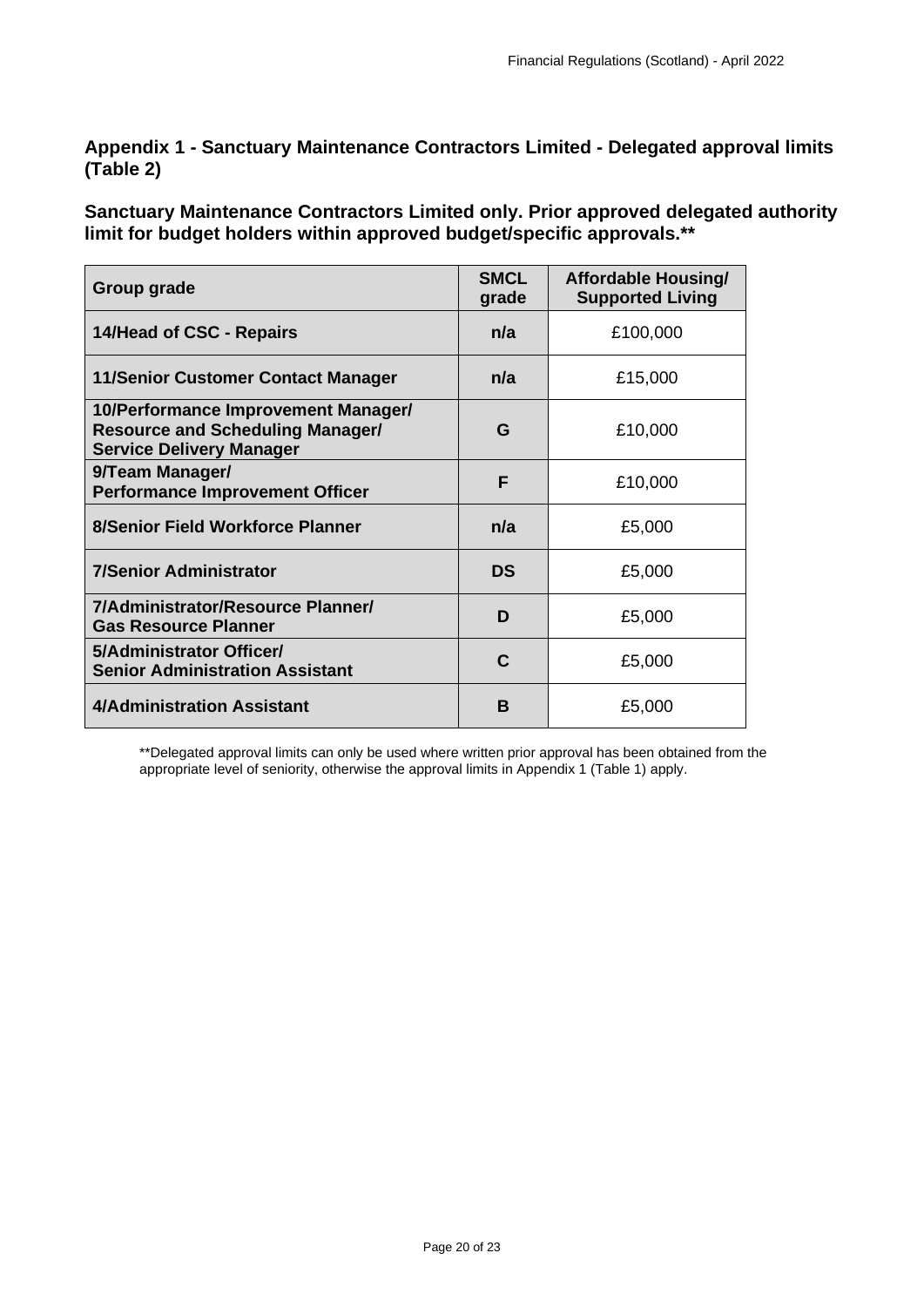<span id="page-19-0"></span>**Appendix 1 - Sanctuary Maintenance Contractors Limited - Delegated approval limits (Table 2)** 

**Sanctuary Maintenance Contractors Limited only. Prior approved delegated authority limit for budget holders within approved budget/specific approvals.\*\*** 

| Group grade                                                                                                       | <b>SMCL</b><br>grade | <b>Affordable Housing/</b><br><b>Supported Living</b> |
|-------------------------------------------------------------------------------------------------------------------|----------------------|-------------------------------------------------------|
| 14/Head of CSC - Repairs                                                                                          | n/a                  | £100,000                                              |
| <b>11/Senior Customer Contact Manager</b>                                                                         | n/a                  | £15,000                                               |
| 10/Performance Improvement Manager/<br><b>Resource and Scheduling Manager/</b><br><b>Service Delivery Manager</b> | G                    | £10,000                                               |
| 9/Team Manager/<br><b>Performance Improvement Officer</b>                                                         | F                    | £10,000                                               |
| 8/Senior Field Workforce Planner                                                                                  | n/a                  | £5,000                                                |
| <b>7/Senior Administrator</b>                                                                                     | <b>DS</b>            | £5,000                                                |
| 7/Administrator/Resource Planner/<br><b>Gas Resource Planner</b>                                                  | D                    | £5,000                                                |
| 5/Administrator Officer/<br><b>Senior Administration Assistant</b>                                                | C                    | £5,000                                                |
| 4/Administration Assistant                                                                                        | в                    | £5,000                                                |

<span id="page-19-1"></span>\*\*Delegated approval limits can only be used where written prior approval has been obtained from the appropriate level of seniority, otherwise the approval limits in Appendix 1 (Table 1) apply.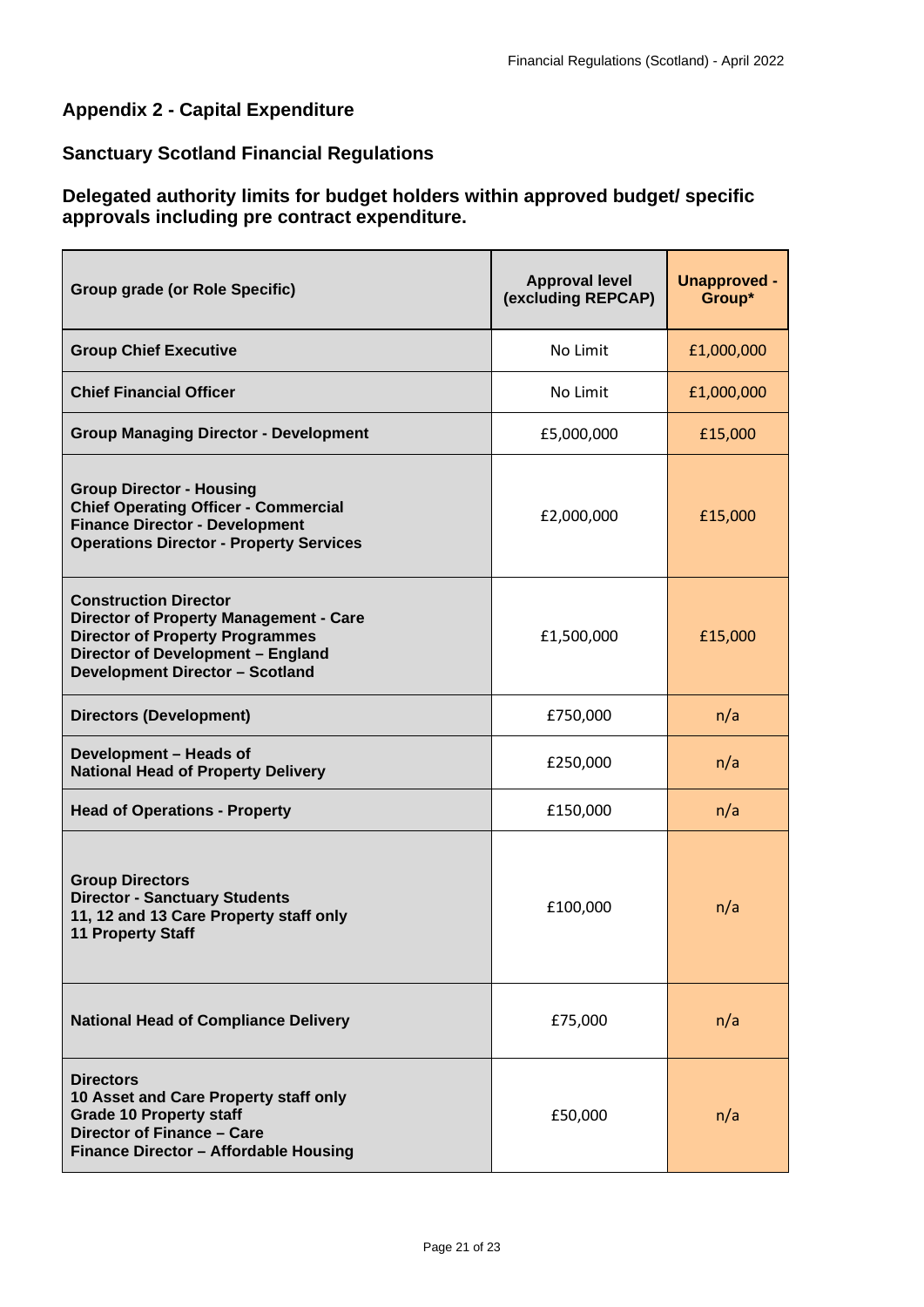# **Appendix 2 - Capital Expenditure**

# **Sanctuary Scotland Financial Regulations**

# **Delegated authority limits for budget holders within approved budget/ specific approvals including pre contract expenditure.**

| <b>Group grade (or Role Specific)</b>                                                                                                                                                                  | <b>Approval level</b><br>(excluding REPCAP) | <b>Unapproved -</b><br>Group* |
|--------------------------------------------------------------------------------------------------------------------------------------------------------------------------------------------------------|---------------------------------------------|-------------------------------|
| <b>Group Chief Executive</b>                                                                                                                                                                           | No Limit                                    | £1,000,000                    |
| <b>Chief Financial Officer</b>                                                                                                                                                                         | No Limit                                    | £1,000,000                    |
| <b>Group Managing Director - Development</b>                                                                                                                                                           | £5,000,000                                  | £15,000                       |
| <b>Group Director - Housing</b><br><b>Chief Operating Officer - Commercial</b><br><b>Finance Director - Development</b><br><b>Operations Director - Property Services</b>                              | £2,000,000                                  | £15,000                       |
| <b>Construction Director</b><br><b>Director of Property Management - Care</b><br><b>Director of Property Programmes</b><br>Director of Development - England<br><b>Development Director - Scotland</b> | £1,500,000                                  | £15,000                       |
| <b>Directors (Development)</b>                                                                                                                                                                         | £750,000                                    | n/a                           |
| Development - Heads of<br><b>National Head of Property Delivery</b>                                                                                                                                    | £250,000                                    | n/a                           |
| <b>Head of Operations - Property</b>                                                                                                                                                                   | £150,000                                    | n/a                           |
| <b>Group Directors</b><br><b>Director - Sanctuary Students</b><br>11, 12 and 13 Care Property staff only<br><b>11 Property Staff</b>                                                                   | £100,000                                    | n/a                           |
| <b>National Head of Compliance Delivery</b>                                                                                                                                                            | £75,000                                     | n/a                           |
| <b>Directors</b><br>10 Asset and Care Property staff only<br><b>Grade 10 Property staff</b><br>Director of Finance - Care<br>Finance Director - Affordable Housing                                     | £50,000                                     | n/a                           |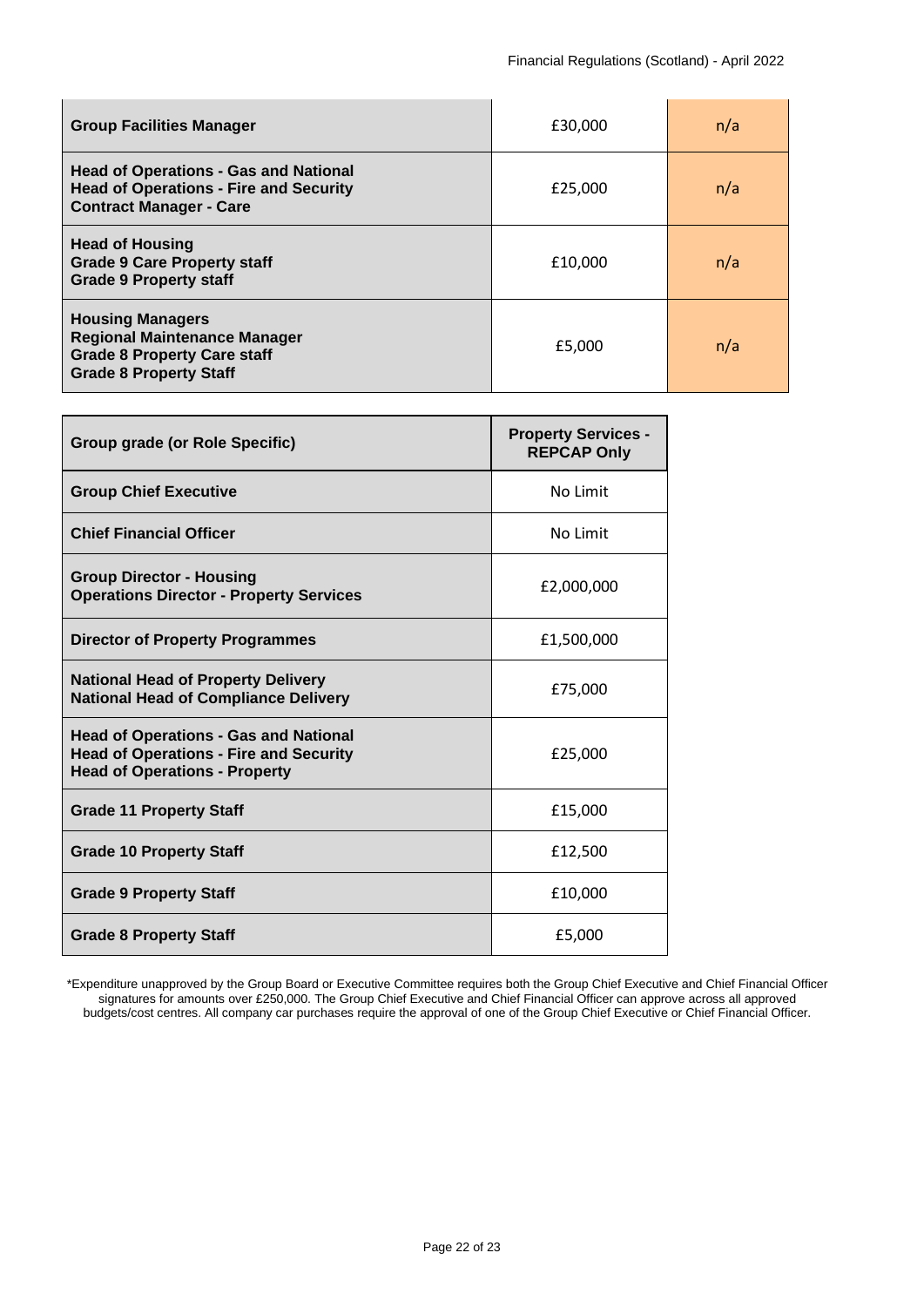| <b>Group Facilities Manager</b>                                                                                                       | £30,000 | n/a |
|---------------------------------------------------------------------------------------------------------------------------------------|---------|-----|
| <b>Head of Operations - Gas and National</b><br><b>Head of Operations - Fire and Security</b><br><b>Contract Manager - Care</b>       | £25,000 | n/a |
| <b>Head of Housing</b><br><b>Grade 9 Care Property staff</b><br><b>Grade 9 Property staff</b>                                         | £10,000 | n/a |
| <b>Housing Managers</b><br><b>Regional Maintenance Manager</b><br><b>Grade 8 Property Care staff</b><br><b>Grade 8 Property Staff</b> | £5,000  | n/a |

| Group grade (or Role Specific)                                                                                                        | <b>Property Services -</b><br><b>REPCAP Only</b> |
|---------------------------------------------------------------------------------------------------------------------------------------|--------------------------------------------------|
| <b>Group Chief Executive</b>                                                                                                          | No Limit                                         |
| <b>Chief Financial Officer</b>                                                                                                        | No Limit                                         |
| <b>Group Director - Housing</b><br><b>Operations Director - Property Services</b>                                                     | £2,000,000                                       |
| Director of Property Programmes                                                                                                       | £1,500,000                                       |
| <b>National Head of Property Delivery</b><br><b>National Head of Compliance Delivery</b>                                              | £75,000                                          |
| <b>Head of Operations - Gas and National</b><br><b>Head of Operations - Fire and Security</b><br><b>Head of Operations - Property</b> | £25,000                                          |
| <b>Grade 11 Property Staff</b>                                                                                                        | £15,000                                          |
| <b>Grade 10 Property Staff</b>                                                                                                        | £12,500                                          |
| <b>Grade 9 Property Staff</b>                                                                                                         | £10,000                                          |
| <b>Grade 8 Property Staff</b>                                                                                                         | £5,000                                           |

\*Expenditure unapproved by the Group Board or Executive Committee requires both the Group Chief Executive and Chief Financial Officer signatures for amounts over £250,000. The Group Chief Executive and Chief Financial Officer can approve across all approved budgets/cost centres. All company car purchases require the approval of one of the Group Chief Executive or Chief Financial Officer.